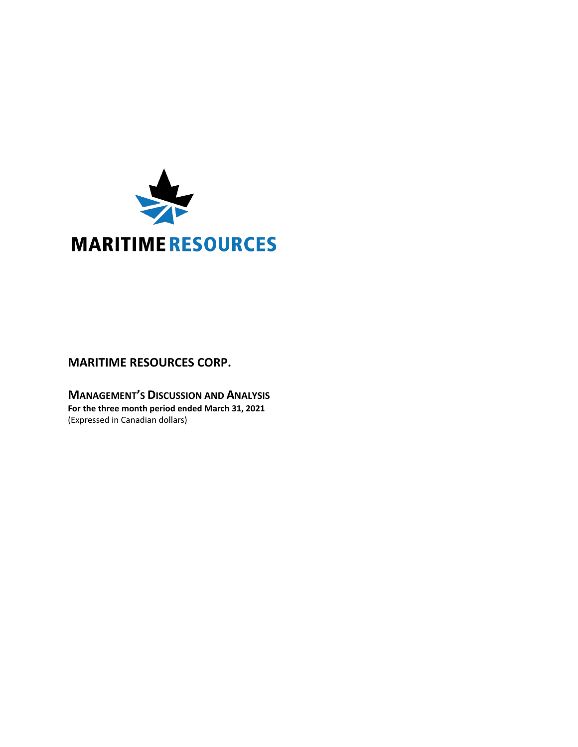

# **MARITIME RESOURCES CORP.**

**MANAGEMENT'S DISCUSSION AND ANALYSIS For the three month period ended March 31, 2021** (Expressed in Canadian dollars)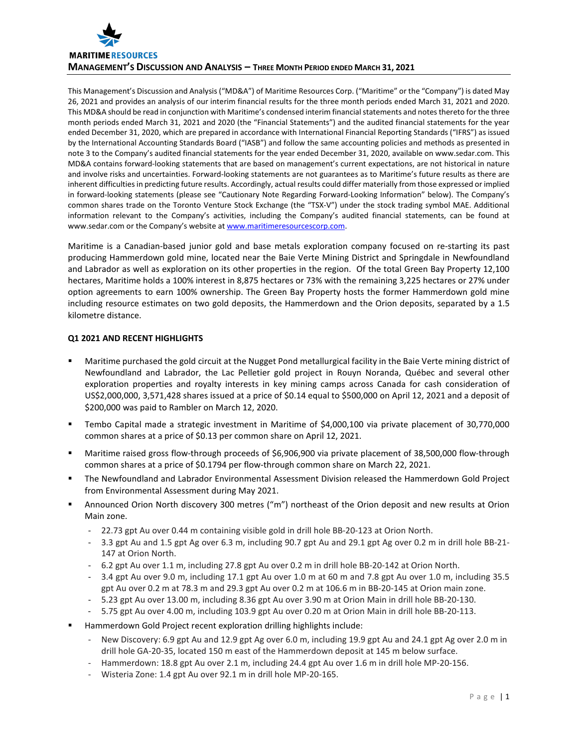

This Management's Discussion and Analysis ("MD&A") of Maritime Resources Corp. ("Maritime" or the "Company") is dated May 26, 2021 and provides an analysis of our interim financial results for the three month periods ended March 31, 2021 and 2020. This MD&A should be read in conjunction with Maritime's condensed interim financial statements and notes thereto for the three month periods ended March 31, 2021 and 2020 (the "Financial Statements") and the audited financial statements for the year ended December 31, 2020, which are prepared in accordance with International Financial Reporting Standards ("IFRS") as issued by the International Accounting Standards Board ("IASB") and follow the same accounting policies and methods as presented in note 3 to the Company's audited financial statements for the year ended December 31, 2020, available on www.sedar.com. This MD&A contains forward-looking statements that are based on management's current expectations, are not historical in nature and involve risks and uncertainties. Forward-looking statements are not guarantees as to Maritime's future results as there are inherent difficulties in predicting future results. Accordingly, actual results could differ materially from those expressed or implied in forward-looking statements (please see "Cautionary Note Regarding Forward-Looking Information" below). The Company's common shares trade on the Toronto Venture Stock Exchange (the "TSX-V") under the stock trading symbol MAE. Additional information relevant to the Company's activities, including the Company's audited financial statements, can be found at www.sedar.com or the Company's website a[t www.maritimeresourcescorp.com.](http://www.maritimeresources.com/)

Maritime is a Canadian-based junior gold and base metals exploration company focused on re-starting its past producing Hammerdown gold mine, located near the Baie Verte Mining District and Springdale in Newfoundland and Labrador as well as exploration on its other properties in the region. Of the total Green Bay Property 12,100 hectares, Maritime holds a 100% interest in 8,875 hectares or 73% with the remaining 3,225 hectares or 27% under option agreements to earn 100% ownership. The Green Bay Property hosts the former Hammerdown gold mine including resource estimates on two gold deposits, the Hammerdown and the Orion deposits, separated by a 1.5 kilometre distance.

# **Q1 2021 AND RECENT HIGHLIGHTS**

- Maritime purchased the gold circuit at the Nugget Pond metallurgical facility in the Baie Verte mining district of Newfoundland and Labrador, the Lac Pelletier gold project in Rouyn Noranda, Québec and several other exploration properties and royalty interests in key mining camps across Canada for cash consideration of US\$2,000,000, 3,571,428 shares issued at a price of \$0.14 equal to \$500,000 on April 12, 2021 and a deposit of \$200,000 was paid to Rambler on March 12, 2020.
- Tembo Capital made a strategic investment in Maritime of \$4,000,100 via private placement of 30,770,000 common shares at a price of \$0.13 per common share on April 12, 2021.
- Maritime raised gross flow-through proceeds of \$6,906,900 via private placement of 38,500,000 flow-through common shares at a price of \$0.1794 per flow-through common share on March 22, 2021.
- The Newfoundland and Labrador Environmental Assessment Division released the Hammerdown Gold Project from Environmental Assessment during May 2021.
- Announced Orion North discovery 300 metres ("m") northeast of the Orion deposit and new results at Orion Main zone.
	- 22.73 gpt Au over 0.44 m containing visible gold in drill hole BB-20-123 at Orion North.
	- 3.3 gpt Au and 1.5 gpt Ag over 6.3 m, including 90.7 gpt Au and 29.1 gpt Ag over 0.2 m in drill hole BB-21- 147 at Orion North.
	- 6.2 gpt Au over 1.1 m, including 27.8 gpt Au over 0.2 m in drill hole BB-20-142 at Orion North.
	- 3.4 gpt Au over 9.0 m, including 17.1 gpt Au over 1.0 m at 60 m and 7.8 gpt Au over 1.0 m, including 35.5 gpt Au over 0.2 m at 78.3 m and 29.3 gpt Au over 0.2 m at 106.6 m in BB-20-145 at Orion main zone.
	- 5.23 gpt Au over 13.00 m, including 8.36 gpt Au over 3.90 m at Orion Main in drill hole BB-20-130.
	- 5.75 gpt Au over 4.00 m, including 103.9 gpt Au over 0.20 m at Orion Main in drill hole BB-20-113.
- Hammerdown Gold Project recent exploration drilling highlights include:
	- New Discovery: 6.9 gpt Au and 12.9 gpt Ag over 6.0 m, including 19.9 gpt Au and 24.1 gpt Ag over 2.0 m in drill hole GA-20-35, located 150 m east of the Hammerdown deposit at 145 m below surface.
	- Hammerdown: 18.8 gpt Au over 2.1 m, including 24.4 gpt Au over 1.6 m in drill hole MP-20-156.
	- Wisteria Zone: 1.4 gpt Au over 92.1 m in drill hole MP-20-165.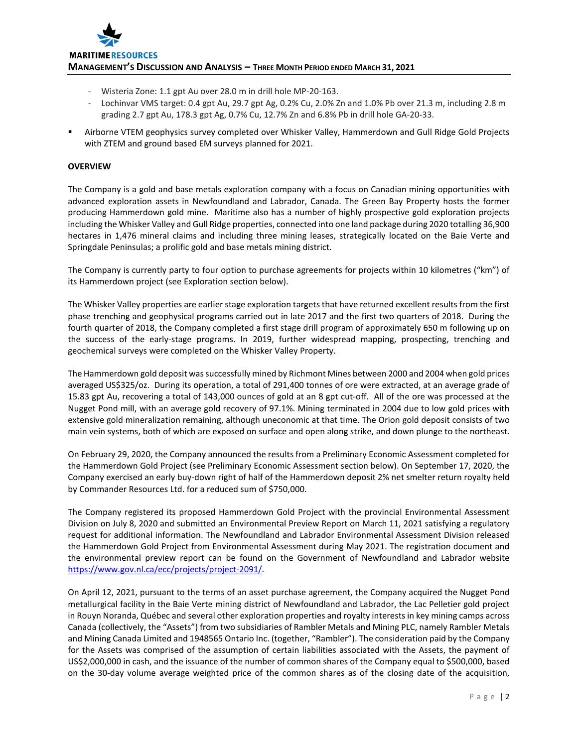

- Wisteria Zone: 1.1 gpt Au over 28.0 m in drill hole MP-20-163.
- Lochinvar VMS target: 0.4 gpt Au, 29.7 gpt Ag, 0.2% Cu, 2.0% Zn and 1.0% Pb over 21.3 m, including 2.8 m grading 2.7 gpt Au, 178.3 gpt Ag, 0.7% Cu, 12.7% Zn and 6.8% Pb in drill hole GA-20-33.
- Airborne VTEM geophysics survey completed over Whisker Valley, Hammerdown and Gull Ridge Gold Projects with ZTEM and ground based EM surveys planned for 2021.

# **OVERVIEW**

The Company is a gold and base metals exploration company with a focus on Canadian mining opportunities with advanced exploration assets in Newfoundland and Labrador, Canada. The Green Bay Property hosts the former producing Hammerdown gold mine. Maritime also has a number of highly prospective gold exploration projects including the Whisker Valley and Gull Ridge properties, connected into one land package during 2020 totalling 36,900 hectares in 1,476 mineral claims and including three mining leases, strategically located on the Baie Verte and Springdale Peninsulas; a prolific gold and base metals mining district.

The Company is currently party to four option to purchase agreements for projects within 10 kilometres ("km") of its Hammerdown project (see Exploration section below).

The Whisker Valley properties are earlier stage exploration targets that have returned excellent results from the first phase trenching and geophysical programs carried out in late 2017 and the first two quarters of 2018. During the fourth quarter of 2018, the Company completed a first stage drill program of approximately 650 m following up on the success of the early-stage programs. In 2019, further widespread mapping, prospecting, trenching and geochemical surveys were completed on the Whisker Valley Property.

The Hammerdown gold deposit was successfully mined by Richmont Mines between 2000 and 2004 when gold prices averaged US\$325/oz. During its operation, a total of 291,400 tonnes of ore were extracted, at an average grade of 15.83 gpt Au, recovering a total of 143,000 ounces of gold at an 8 gpt cut-off. All of the ore was processed at the Nugget Pond mill, with an average gold recovery of 97.1%. Mining terminated in 2004 due to low gold prices with extensive gold mineralization remaining, although uneconomic at that time. The Orion gold deposit consists of two main vein systems, both of which are exposed on surface and open along strike, and down plunge to the northeast.

On February 29, 2020, the Company announced the results from a Preliminary Economic Assessment completed for the Hammerdown Gold Project (see Preliminary Economic Assessment section below). On September 17, 2020, the Company exercised an early buy-down right of half of the Hammerdown deposit 2% net smelter return royalty held by Commander Resources Ltd. for a reduced sum of \$750,000.

The Company registered its proposed Hammerdown Gold Project with the provincial Environmental Assessment Division on July 8, 2020 and submitted an Environmental Preview Report on March 11, 2021 satisfying a regulatory request for additional information. The Newfoundland and Labrador Environmental Assessment Division released the Hammerdown Gold Project from Environmental Assessment during May 2021. The registration document and the environmental preview report can be found on the Government of Newfoundland and Labrador website [https://www.gov.nl.ca/ecc/projects/project-2091/.](https://www.gov.nl.ca/ecc/projects/project-2091/)

On April 12, 2021, pursuant to the terms of an asset purchase agreement, the Company acquired the Nugget Pond metallurgical facility in the Baie Verte mining district of Newfoundland and Labrador, the Lac Pelletier gold project in Rouyn Noranda, Québec and several other exploration properties and royalty interests in key mining camps across Canada (collectively, the "Assets") from two subsidiaries of Rambler Metals and Mining PLC, namely Rambler Metals and Mining Canada Limited and 1948565 Ontario Inc. (together, "Rambler"). The consideration paid by the Company for the Assets was comprised of the assumption of certain liabilities associated with the Assets, the payment of US\$2,000,000 in cash, and the issuance of the number of common shares of the Company equal to \$500,000, based on the 30-day volume average weighted price of the common shares as of the closing date of the acquisition,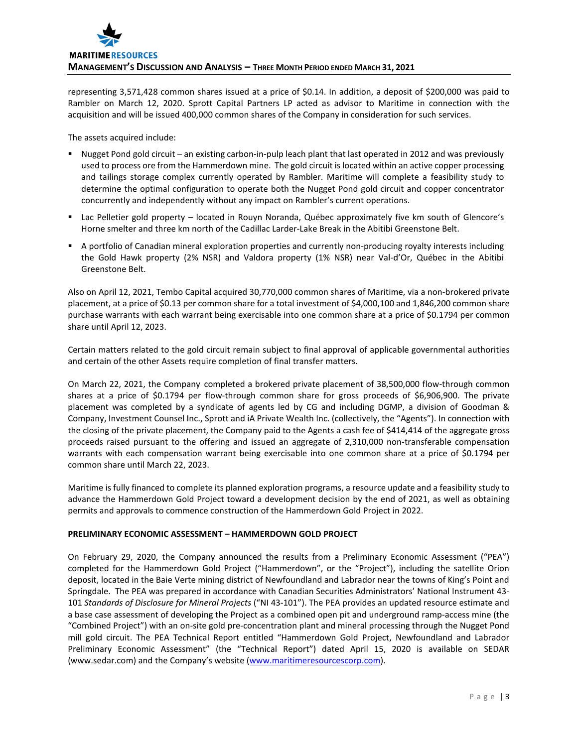

representing 3,571,428 common shares issued at a price of \$0.14. In addition, a deposit of \$200,000 was paid to Rambler on March 12, 2020. Sprott Capital Partners LP acted as advisor to Maritime in connection with the acquisition and will be issued 400,000 common shares of the Company in consideration for such services.

The assets acquired include:

- Nugget Pond gold circuit an existing carbon-in-pulp leach plant that last operated in 2012 and was previously used to process ore from the Hammerdown mine. The gold circuit is located within an active copper processing and tailings storage complex currently operated by Rambler. Maritime will complete a feasibility study to determine the optimal configuration to operate both the Nugget Pond gold circuit and copper concentrator concurrently and independently without any impact on Rambler's current operations.
- Lac Pelletier gold property located in Rouyn Noranda, Québec approximately five km south of Glencore's Horne smelter and three km north of the Cadillac Larder-Lake Break in the Abitibi Greenstone Belt.
- A portfolio of Canadian mineral exploration properties and currently non-producing royalty interests including the Gold Hawk property (2% NSR) and Valdora property (1% NSR) near Val-d'Or, Québec in the Abitibi Greenstone Belt.

Also on April 12, 2021, Tembo Capital acquired 30,770,000 common shares of Maritime, via a non-brokered private placement, at a price of \$0.13 per common share for a total investment of \$4,000,100 and 1,846,200 common share purchase warrants with each warrant being exercisable into one common share at a price of \$0.1794 per common share until April 12, 2023.

Certain matters related to the gold circuit remain subject to final approval of applicable governmental authorities and certain of the other Assets require completion of final transfer matters.

On March 22, 2021, the Company completed a brokered private placement of 38,500,000 flow-through common shares at a price of \$0.1794 per flow-through common share for gross proceeds of \$6,906,900. The private placement was completed by a syndicate of agents led by CG and including DGMP, a division of Goodman & Company, Investment Counsel Inc., Sprott and iA Private Wealth Inc. (collectively, the "Agents"). In connection with the closing of the private placement, the Company paid to the Agents a cash fee of \$414,414 of the aggregate gross proceeds raised pursuant to the offering and issued an aggregate of 2,310,000 non-transferable compensation warrants with each compensation warrant being exercisable into one common share at a price of \$0.1794 per common share until March 22, 2023.

Maritime is fully financed to complete its planned exploration programs, a resource update and a feasibility study to advance the Hammerdown Gold Project toward a development decision by the end of 2021, as well as obtaining permits and approvals to commence construction of the Hammerdown Gold Project in 2022.

# **PRELIMINARY ECONOMIC ASSESSMENT – HAMMERDOWN GOLD PROJECT**

On February 29, 2020, the Company announced the results from a Preliminary Economic Assessment ("PEA") completed for the Hammerdown Gold Project ("Hammerdown", or the "Project"), including the satellite Orion deposit, located in the Baie Verte mining district of Newfoundland and Labrador near the towns of King's Point and Springdale. The PEA was prepared in accordance with Canadian Securities Administrators' National Instrument 43- 101 *Standards of Disclosure for Mineral Projects* ("NI 43-101"). The PEA provides an updated resource estimate and a base case assessment of developing the Project as a combined open pit and underground ramp-access mine (the "Combined Project") with an on-site gold pre-concentration plant and mineral processing through the Nugget Pond mill gold circuit. The PEA Technical Report entitled "Hammerdown Gold Project, Newfoundland and Labrador Preliminary Economic Assessment" (the "Technical Report") dated April 15, 2020 is available on SEDAR (www.sedar.com) and the Company's website [\(www.maritimeresourcescorp.com\)](http://www.maritimegold.com/).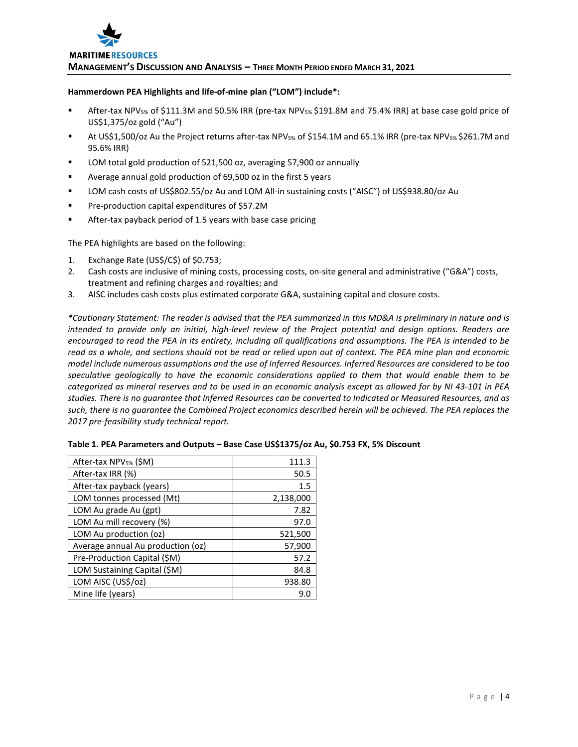# **Hammerdown PEA Highlights and life-of-mine plan ("LOM") include\*:**

- After-tax NPV5% of \$111.3M and 50.5% IRR (pre-tax NPV5% \$191.8M and 75.4% IRR) at base case gold price of US\$1,375/oz gold ("Au")
- At US\$1,500/oz Au the Project returns after-tax NPV5% of \$154.1M and 65.1% IRR (pre-tax NPV5% \$261.7M and 95.6% IRR)
- LOM total gold production of 521,500 oz, averaging 57,900 oz annually
- Average annual gold production of 69,500 oz in the first 5 years
- LOM cash costs of US\$802.55/oz Au and LOM All-in sustaining costs ("AISC") of US\$938.80/oz Au
- **Pre-production capital expenditures of \$57.2M**
- After-tax payback period of 1.5 years with base case pricing

The PEA highlights are based on the following:

- 1. Exchange Rate (US\$/C\$) of \$0.753;
- 2. Cash costs are inclusive of mining costs, processing costs, on-site general and administrative ("G&A") costs, treatment and refining charges and royalties; and
- 3. AISC includes cash costs plus estimated corporate G&A, sustaining capital and closure costs.

*\*Cautionary Statement: The reader is advised that the PEA summarized in this MD&A is preliminary in nature and is intended to provide only an initial, high-level review of the Project potential and design options. Readers are encouraged to read the PEA in its entirety, including all qualifications and assumptions. The PEA is intended to be read as a whole, and sections should not be read or relied upon out of context. The PEA mine plan and economic model include numerous assumptions and the use of Inferred Resources. Inferred Resources are considered to be too speculative geologically to have the economic considerations applied to them that would enable them to be categorized as mineral reserves and to be used in an economic analysis except as allowed for by NI 43-101 in PEA studies. There is no guarantee that Inferred Resources can be converted to Indicated or Measured Resources, and as such, there is no guarantee the Combined Project economics described herein will be achieved. The PEA replaces the 2017 pre-feasibility study technical report.*

| After-tax NPV <sub>5%</sub> (\$M) | 111.3     |
|-----------------------------------|-----------|
| After-tax IRR (%)                 | 50.5      |
| After-tax payback (years)         | 1.5       |
| LOM tonnes processed (Mt)         | 2,138,000 |
| LOM Au grade Au (gpt)             | 7.82      |
| LOM Au mill recovery (%)          | 97.0      |
| LOM Au production (oz)            | 521,500   |
| Average annual Au production (oz) | 57,900    |
| Pre-Production Capital (\$M)      | 57.2      |
| LOM Sustaining Capital (\$M)      | 84.8      |
| LOM AISC (US\$/oz)                | 938.80    |
| Mine life (years)                 | 9.0       |

|  | Table 1. PEA Parameters and Outputs - Base Case US\$1375/oz Au, \$0.753 FX, 5% Discount |
|--|-----------------------------------------------------------------------------------------|
|--|-----------------------------------------------------------------------------------------|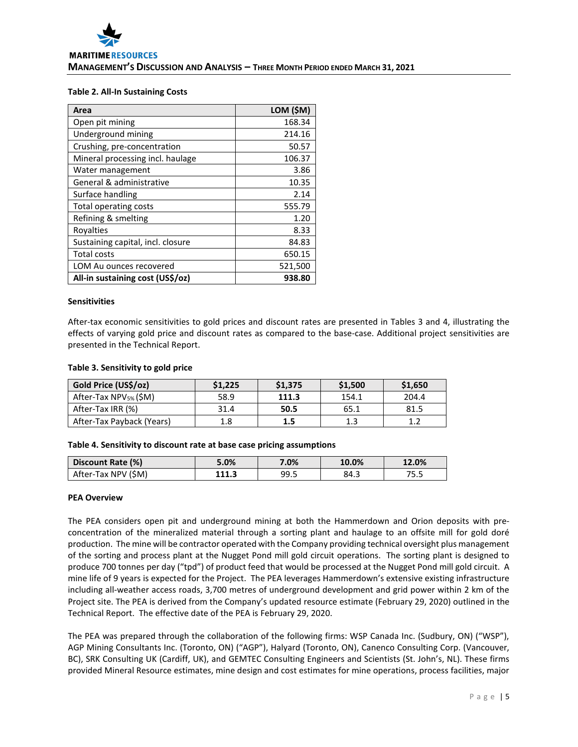### **Table 2. All-In Sustaining Costs**

| Area                              | LOM (\$M) |
|-----------------------------------|-----------|
| Open pit mining                   | 168.34    |
| Underground mining                | 214.16    |
| Crushing, pre-concentration       | 50.57     |
| Mineral processing incl. haulage  | 106.37    |
| Water management                  | 3.86      |
| General & administrative          | 10.35     |
| Surface handling                  | 2.14      |
| <b>Total operating costs</b>      | 555.79    |
| Refining & smelting               | 1.20      |
| Rovalties                         | 8.33      |
| Sustaining capital, incl. closure | 84.83     |
| <b>Total costs</b>                | 650.15    |
| LOM Au ounces recovered           | 521,500   |
| All-in sustaining cost (US\$/oz)  | 938.80    |

#### **Sensitivities**

After-tax economic sensitivities to gold prices and discount rates are presented in Tables 3 and 4, illustrating the effects of varying gold price and discount rates as compared to the base-case. Additional project sensitivities are presented in the Technical Report.

#### **Table 3. Sensitivity to gold price**

| Gold Price (US\$/oz)              | \$1.225 | \$1.375 | \$1,500 | \$1,650 |
|-----------------------------------|---------|---------|---------|---------|
| After-Tax NPV <sub>5%</sub> (\$M) | 58.9    | 111.3   | 154.1   | 204.4   |
| After-Tax IRR (%)                 | 31.4    | 50.5    | 65.1    | 81.5    |
| After-Tax Payback (Years)         | 1.8     | 1.5     | 1.3     | 1.      |

#### **Table 4. Sensitivity to discount rate at base case pricing assumptions**

| Discount Rate (%)   | 5.0%  | 7.0% | 10.0% | 12.0% |
|---------------------|-------|------|-------|-------|
| After-Tax NPV (\$M) | 111.3 | 99.5 | 84.3  | 75.5  |

# **PEA Overview**

The PEA considers open pit and underground mining at both the Hammerdown and Orion deposits with preconcentration of the mineralized material through a sorting plant and haulage to an offsite mill for gold doré production. The mine will be contractor operated with the Company providing technical oversight plus management of the sorting and process plant at the Nugget Pond mill gold circuit operations. The sorting plant is designed to produce 700 tonnes per day ("tpd") of product feed that would be processed at the Nugget Pond mill gold circuit. A mine life of 9 years is expected for the Project. The PEA leverages Hammerdown's extensive existing infrastructure including all-weather access roads, 3,700 metres of underground development and grid power within 2 km of the Project site. The PEA is derived from the Company's updated resource estimate (February 29, 2020) outlined in the Technical Report. The effective date of the PEA is February 29, 2020.

The PEA was prepared through the collaboration of the following firms: WSP Canada Inc. (Sudbury, ON) ("WSP"), AGP Mining Consultants Inc. (Toronto, ON) ("AGP"), Halyard (Toronto, ON), Canenco Consulting Corp. (Vancouver, BC), SRK Consulting UK (Cardiff, UK), and GEMTEC Consulting Engineers and Scientists (St. John's, NL). These firms provided Mineral Resource estimates, mine design and cost estimates for mine operations, process facilities, major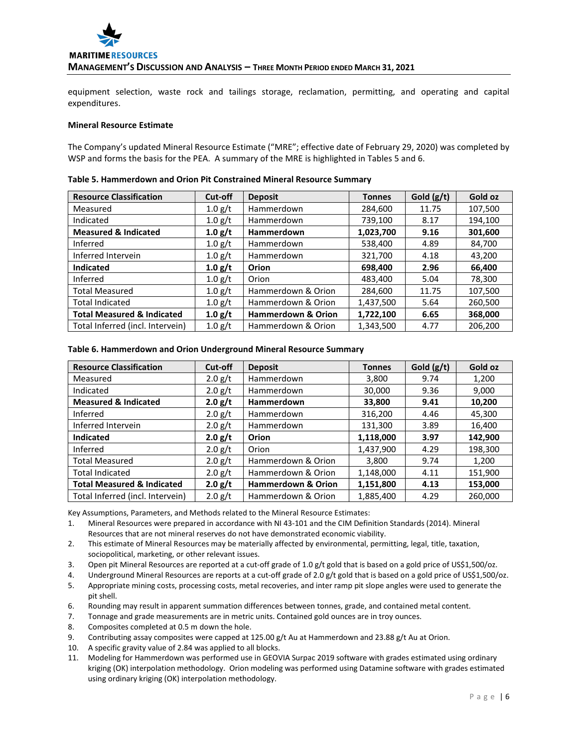

equipment selection, waste rock and tailings storage, reclamation, permitting, and operating and capital expenditures.

# **Mineral Resource Estimate**

The Company's updated Mineral Resource Estimate ("MRE"; effective date of February 29, 2020) was completed by WSP and forms the basis for the PEA. A summary of the MRE is highlighted in Tables 5 and 6.

| <b>Resource Classification</b>        | Cut-off   | <b>Deposit</b>                | <b>Tonnes</b> | Gold $(g/t)$ | Gold oz |
|---------------------------------------|-----------|-------------------------------|---------------|--------------|---------|
| Measured                              | 1.0 g/t   | Hammerdown                    | 284,600       | 11.75        | 107,500 |
| Indicated                             | 1.0 $g/t$ | Hammerdown                    | 739,100       | 8.17         | 194,100 |
| <b>Measured &amp; Indicated</b>       | 1.0 g/t   | Hammerdown                    | 1,023,700     | 9.16         | 301,600 |
| Inferred                              | 1.0 g/t   | Hammerdown                    | 538,400       | 4.89         | 84,700  |
| Inferred Intervein                    | 1.0 $g/t$ | Hammerdown                    | 321,700       | 4.18         | 43,200  |
| Indicated                             | 1.0 g/t   | Orion                         | 698,400       | 2.96         | 66,400  |
| Inferred                              | 1.0 g/t   | Orion                         | 483,400       | 5.04         | 78,300  |
| <b>Total Measured</b>                 | $1.0$ g/t | Hammerdown & Orion            | 284,600       | 11.75        | 107,500 |
| <b>Total Indicated</b>                | $1.0$ g/t | Hammerdown & Orion            | 1,437,500     | 5.64         | 260,500 |
| <b>Total Measured &amp; Indicated</b> | 1.0 g/t   | <b>Hammerdown &amp; Orion</b> | 1,722,100     | 6.65         | 368,000 |
| Total Inferred (incl. Intervein)      | 1.0 g/t   | Hammerdown & Orion            | 1,343,500     | 4.77         | 206,200 |

#### **Table 5. Hammerdown and Orion Pit Constrained Mineral Resource Summary**

#### **Table 6. Hammerdown and Orion Underground Mineral Resource Summary**

| <b>Resource Classification</b>        | Cut-off   | <b>Deposit</b>                | <b>Tonnes</b> | Gold $(g/t)$ | Gold oz |
|---------------------------------------|-----------|-------------------------------|---------------|--------------|---------|
| Measured                              | 2.0 g/t   | <b>Hammerdown</b>             | 3,800         | 9.74         | 1,200   |
| Indicated                             | $2.0$ g/t | <b>Hammerdown</b>             | 30,000        | 9.36         | 9,000   |
| <b>Measured &amp; Indicated</b>       | 2.0 g/t   | <b>Hammerdown</b>             | 33,800        | 9.41         | 10,200  |
| Inferred                              | 2.0 g/t   | <b>Hammerdown</b>             | 316,200       | 4.46         | 45,300  |
| Inferred Intervein                    | 2.0 g/t   | <b>Hammerdown</b>             | 131,300       | 3.89         | 16,400  |
| <b>Indicated</b>                      | 2.0 g/t   | Orion                         | 1,118,000     | 3.97         | 142,900 |
| Inferred                              | $2.0$ g/t | Orion                         | 1,437,900     | 4.29         | 198,300 |
| <b>Total Measured</b>                 | $2.0$ g/t | Hammerdown & Orion            | 3,800         | 9.74         | 1,200   |
| <b>Total Indicated</b>                | $2.0$ g/t | Hammerdown & Orion            | 1,148,000     | 4.11         | 151,900 |
| <b>Total Measured &amp; Indicated</b> | 2.0 g/t   | <b>Hammerdown &amp; Orion</b> | 1,151,800     | 4.13         | 153,000 |
| Total Inferred (incl. Intervein)      | $2.0$ g/t | Hammerdown & Orion            | 1,885,400     | 4.29         | 260,000 |

Key Assumptions, Parameters, and Methods related to the Mineral Resource Estimates:

- 1. Mineral Resources were prepared in accordance with NI 43-101 and the CIM Definition Standards (2014). Mineral Resources that are not mineral reserves do not have demonstrated economic viability.
- 2. This estimate of Mineral Resources may be materially affected by environmental, permitting, legal, title, taxation, sociopolitical, marketing, or other relevant issues.
- 3. Open pit Mineral Resources are reported at a cut-off grade of 1.0 g/t gold that is based on a gold price of US\$1,500/oz.
- 4. Underground Mineral Resources are reports at a cut-off grade of 2.0 g/t gold that is based on a gold price of US\$1,500/oz.
- 5. Appropriate mining costs, processing costs, metal recoveries, and inter ramp pit slope angles were used to generate the pit shell.
- 6. Rounding may result in apparent summation differences between tonnes, grade, and contained metal content.
- 7. Tonnage and grade measurements are in metric units. Contained gold ounces are in troy ounces.
- 8. Composites completed at 0.5 m down the hole.
- 9. Contributing assay composites were capped at 125.00 g/t Au at Hammerdown and 23.88 g/t Au at Orion.
- 10. A specific gravity value of 2.84 was applied to all blocks.
- 11. Modeling for Hammerdown was performed use in GEOVIA Surpac 2019 software with grades estimated using ordinary kriging (OK) interpolation methodology. Orion modeling was performed using Datamine software with grades estimated using ordinary kriging (OK) interpolation methodology.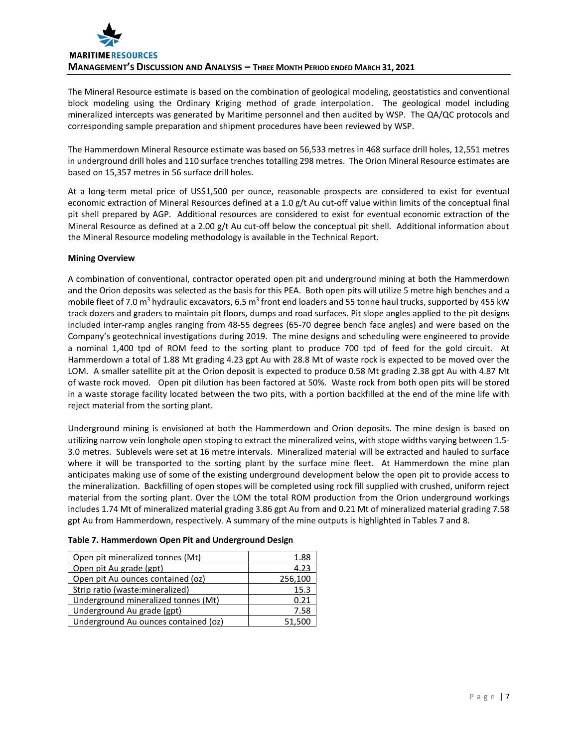The Mineral Resource estimate is based on the combination of geological modeling, geostatistics and conventional block modeling using the Ordinary Kriging method of grade interpolation. The geological model including mineralized intercepts was generated by Maritime personnel and then audited by WSP. The QA/QC protocols and corresponding sample preparation and shipment procedures have been reviewed by WSP.

The Hammerdown Mineral Resource estimate was based on 56,533 metres in 468 surface drill holes, 12,551 metres in underground drill holes and 110 surface trenches totalling 298 metres. The Orion Mineral Resource estimates are based on 15,357 metres in 56 surface drill holes.

At a long-term metal price of US\$1,500 per ounce, reasonable prospects are considered to exist for eventual economic extraction of Mineral Resources defined at a 1.0 g/t Au cut-off value within limits of the conceptual final pit shell prepared by AGP. Additional resources are considered to exist for eventual economic extraction of the Mineral Resource as defined at a 2.00 g/t Au cut-off below the conceptual pit shell. Additional information about the Mineral Resource modeling methodology is available in the Technical Report.

# **Mining Overview**

A combination of conventional, contractor operated open pit and underground mining at both the Hammerdown and the Orion deposits was selected as the basis for this PEA. Both open pits will utilize 5 metre high benches and a mobile fleet of 7.0 m<sup>3</sup> hydraulic excavators, 6.5 m<sup>3</sup> front end loaders and 55 tonne haul trucks, supported by 455 kW track dozers and graders to maintain pit floors, dumps and road surfaces. Pit slope angles applied to the pit designs included inter-ramp angles ranging from 48-55 degrees (65-70 degree bench face angles) and were based on the Company's geotechnical investigations during 2019. The mine designs and scheduling were engineered to provide a nominal 1,400 tpd of ROM feed to the sorting plant to produce 700 tpd of feed for the gold circuit. At Hammerdown a total of 1.88 Mt grading 4.23 gpt Au with 28.8 Mt of waste rock is expected to be moved over the LOM. A smaller satellite pit at the Orion deposit is expected to produce 0.58 Mt grading 2.38 gpt Au with 4.87 Mt of waste rock moved. Open pit dilution has been factored at 50%. Waste rock from both open pits will be stored in a waste storage facility located between the two pits, with a portion backfilled at the end of the mine life with reject material from the sorting plant.

Underground mining is envisioned at both the Hammerdown and Orion deposits. The mine design is based on utilizing narrow vein longhole open stoping to extract the mineralized veins, with stope widths varying between 1.5- 3.0 metres. Sublevels were set at 16 metre intervals. Mineralized material will be extracted and hauled to surface where it will be transported to the sorting plant by the surface mine fleet. At Hammerdown the mine plan anticipates making use of some of the existing underground development below the open pit to provide access to the mineralization. Backfilling of open stopes will be completed using rock fill supplied with crushed, uniform reject material from the sorting plant. Over the LOM the total ROM production from the Orion underground workings includes 1.74 Mt of mineralized material grading 3.86 gpt Au from and 0.21 Mt of mineralized material grading 7.58 gpt Au from Hammerdown, respectively. A summary of the mine outputs is highlighted in Tables 7 and 8.

| Open pit mineralized tonnes (Mt)     | 1.88    |
|--------------------------------------|---------|
| Open pit Au grade (gpt)              | 4.23    |
| Open pit Au ounces contained (oz)    | 256,100 |
| Strip ratio (waste: mineralized)     | 15.3    |
| Underground mineralized tonnes (Mt)  | 0.21    |
| Underground Au grade (gpt)           | 7.58    |
| Underground Au ounces contained (oz) | 51.500  |

# **Table 7. Hammerdown Open Pit and Underground Design**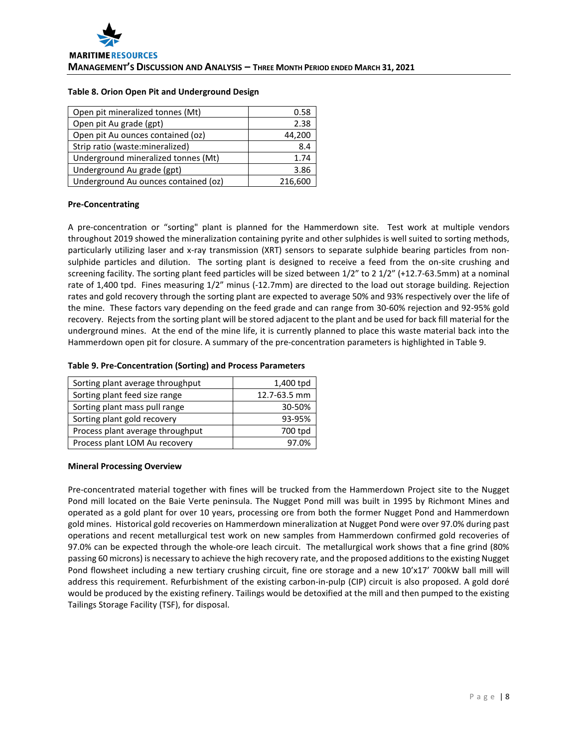# **Table 8. Orion Open Pit and Underground Design**

| Open pit mineralized tonnes (Mt)     | 0.58    |
|--------------------------------------|---------|
| Open pit Au grade (gpt)              | 2.38    |
| Open pit Au ounces contained (oz)    | 44,200  |
| Strip ratio (waste: mineralized)     | 8.4     |
| Underground mineralized tonnes (Mt)  | 1.74    |
| Underground Au grade (gpt)           | 3.86    |
| Underground Au ounces contained (oz) | 216,600 |

# **Pre-Concentrating**

A pre-concentration or "sorting" plant is planned for the Hammerdown site. Test work at multiple vendors throughout 2019 showed the mineralization containing pyrite and other sulphides is well suited to sorting methods, particularly utilizing laser and x-ray transmission (XRT) sensors to separate sulphide bearing particles from nonsulphide particles and dilution. The sorting plant is designed to receive a feed from the on-site crushing and screening facility. The sorting plant feed particles will be sized between 1/2" to 2 1/2" (+12.7-63.5mm) at a nominal rate of 1,400 tpd. Fines measuring 1/2" minus (-12.7mm) are directed to the load out storage building. Rejection rates and gold recovery through the sorting plant are expected to average 50% and 93% respectively over the life of the mine. These factors vary depending on the feed grade and can range from 30-60% rejection and 92-95% gold recovery. Rejects from the sorting plant will be stored adjacent to the plant and be used for back fill material for the underground mines. At the end of the mine life, it is currently planned to place this waste material back into the Hammerdown open pit for closure. A summary of the pre-concentration parameters is highlighted in Table 9.

#### **Table 9. Pre-Concentration (Sorting) and Process Parameters**

| Sorting plant average throughput | 1,400 tpd    |
|----------------------------------|--------------|
| Sorting plant feed size range    | 12.7-63.5 mm |
| Sorting plant mass pull range    | 30-50%       |
| Sorting plant gold recovery      | 93-95%       |
| Process plant average throughput | 700 tpd      |
| Process plant LOM Au recovery    | ዓ7 በ%        |

# **Mineral Processing Overview**

Pre-concentrated material together with fines will be trucked from the Hammerdown Project site to the Nugget Pond mill located on the Baie Verte peninsula. The Nugget Pond mill was built in 1995 by Richmont Mines and operated as a gold plant for over 10 years, processing ore from both the former Nugget Pond and Hammerdown gold mines. Historical gold recoveries on Hammerdown mineralization at Nugget Pond were over 97.0% during past operations and recent metallurgical test work on new samples from Hammerdown confirmed gold recoveries of 97.0% can be expected through the whole-ore leach circuit. The metallurgical work shows that a fine grind (80% passing 60 microns) is necessary to achieve the high recovery rate, and the proposed additions to the existing Nugget Pond flowsheet including a new tertiary crushing circuit, fine ore storage and a new 10'x17' 700kW ball mill will address this requirement. Refurbishment of the existing carbon-in-pulp (CIP) circuit is also proposed. A gold doré would be produced by the existing refinery. Tailings would be detoxified at the mill and then pumped to the existing Tailings Storage Facility (TSF), for disposal.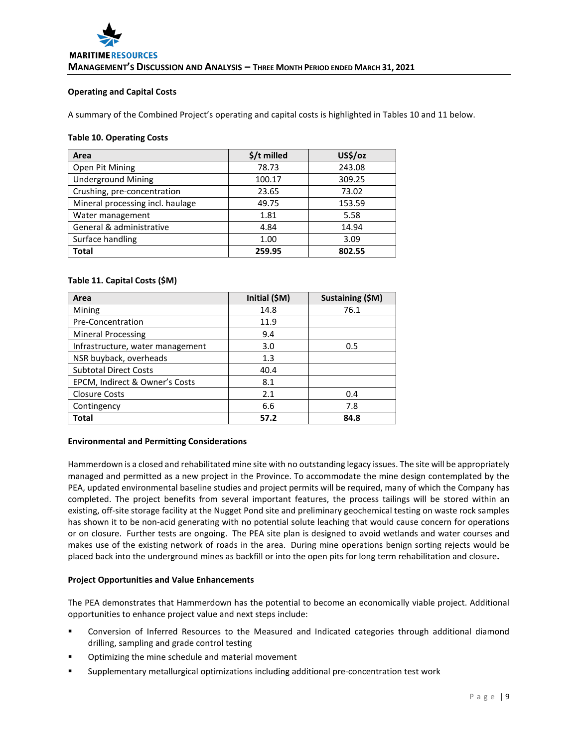### **Operating and Capital Costs**

A summary of the Combined Project's operating and capital costs is highlighted in Tables 10 and 11 below.

#### **Table 10. Operating Costs**

| Area                             | $$/t$ milled | US\$/oz |
|----------------------------------|--------------|---------|
| Open Pit Mining                  | 78.73        | 243.08  |
| <b>Underground Mining</b>        | 100.17       | 309.25  |
| Crushing, pre-concentration      | 23.65        | 73.02   |
| Mineral processing incl. haulage | 49.75        | 153.59  |
| Water management                 | 1.81         | 5.58    |
| General & administrative         | 4.84         | 14.94   |
| Surface handling                 | 1.00         | 3.09    |
| Total                            | 259.95       | 802.55  |

# **Table 11. Capital Costs (\$M)**

| Area                             | Initial (\$M) | Sustaining (\$M) |
|----------------------------------|---------------|------------------|
| Mining                           | 14.8          | 76.1             |
| Pre-Concentration                | 11.9          |                  |
| <b>Mineral Processing</b>        | 9.4           |                  |
| Infrastructure, water management | 3.0           | 0.5              |
| NSR buyback, overheads           | 1.3           |                  |
| <b>Subtotal Direct Costs</b>     | 40.4          |                  |
| EPCM, Indirect & Owner's Costs   | 8.1           |                  |
| <b>Closure Costs</b>             | 2.1           | 0.4              |
| Contingency                      | 6.6           | 7.8              |
| Total                            | 57.2          | 84.8             |

# **Environmental and Permitting Considerations**

Hammerdown is a closed and rehabilitated mine site with no outstanding legacy issues. The site will be appropriately managed and permitted as a new project in the Province. To accommodate the mine design contemplated by the PEA, updated environmental baseline studies and project permits will be required, many of which the Company has completed. The project benefits from several important features, the process tailings will be stored within an existing, off-site storage facility at the Nugget Pond site and preliminary geochemical testing on waste rock samples has shown it to be non-acid generating with no potential solute leaching that would cause concern for operations or on closure. Further tests are ongoing. The PEA site plan is designed to avoid wetlands and water courses and makes use of the existing network of roads in the area. During mine operations benign sorting rejects would be placed back into the underground mines as backfill or into the open pits for long term rehabilitation and closure**.** 

# **Project Opportunities and Value Enhancements**

The PEA demonstrates that Hammerdown has the potential to become an economically viable project. Additional opportunities to enhance project value and next steps include:

- Conversion of Inferred Resources to the Measured and Indicated categories through additional diamond drilling, sampling and grade control testing
- Optimizing the mine schedule and material movement
- Supplementary metallurgical optimizations including additional pre-concentration test work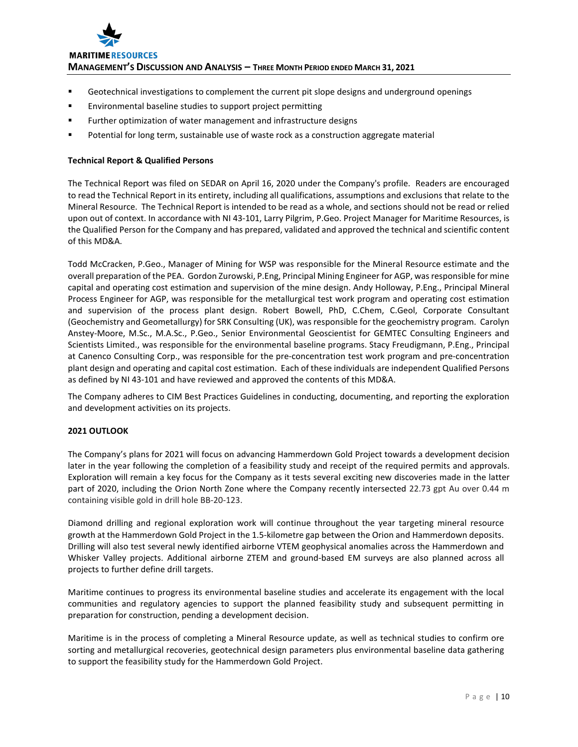

**MARITIME RESOURCES** 

**MANAGEMENT'S DISCUSSION AND ANALYSIS – THREE MONTH PERIOD ENDED MARCH 31, 2021**

- Geotechnical investigations to complement the current pit slope designs and underground openings
- Environmental baseline studies to support project permitting
- **Further optimization of water management and infrastructure designs**
- Potential for long term, sustainable use of waste rock as a construction aggregate material

# **Technical Report & Qualified Persons**

The Technical Report was filed on SEDAR on April 16, 2020 under the Company's profile. Readers are encouraged to read the Technical Report in its entirety, including all qualifications, assumptions and exclusions that relate to the Mineral Resource. The Technical Report is intended to be read as a whole, and sections should not be read or relied upon out of context. In accordance with NI 43-101, Larry Pilgrim, P.Geo. Project Manager for Maritime Resources, is the Qualified Person for the Company and has prepared, validated and approved the technical and scientific content of this MD&A.

Todd McCracken, P.Geo., Manager of Mining for WSP was responsible for the Mineral Resource estimate and the overall preparation of the PEA. Gordon Zurowski, P.Eng, Principal Mining Engineer for AGP, wasresponsible for mine capital and operating cost estimation and supervision of the mine design. Andy Holloway, P.Eng., Principal Mineral Process Engineer for AGP, was responsible for the metallurgical test work program and operating cost estimation and supervision of the process plant design. Robert Bowell, PhD, C.Chem, C.Geol, Corporate Consultant (Geochemistry and Geometallurgy) for SRK Consulting (UK), was responsible for the geochemistry program. Carolyn Anstey-Moore, M.Sc., M.A.Sc., P.Geo., Senior Environmental Geoscientist for GEMTEC Consulting Engineers and Scientists Limited., was responsible for the environmental baseline programs. Stacy Freudigmann, P.Eng., Principal at Canenco Consulting Corp., was responsible for the pre-concentration test work program and pre-concentration plant design and operating and capital cost estimation. Each of these individuals are independent Qualified Persons as defined by NI 43-101 and have reviewed and approved the contents of this MD&A.

The Company adheres to CIM Best Practices Guidelines in conducting, documenting, and reporting the exploration and development activities on its projects.

# **2021 OUTLOOK**

The Company's plans for 2021 will focus on advancing Hammerdown Gold Project towards a development decision later in the year following the completion of a feasibility study and receipt of the required permits and approvals. Exploration will remain a key focus for the Company as it tests several exciting new discoveries made in the latter part of 2020, including the Orion North Zone where the Company recently intersected 22.73 gpt Au over 0.44 m containing visible gold in drill hole BB-20-123.

Diamond drilling and regional exploration work will continue throughout the year targeting mineral resource growth at the Hammerdown Gold Project in the 1.5-kilometre gap between the Orion and Hammerdown deposits. Drilling will also test several newly identified airborne VTEM geophysical anomalies across the Hammerdown and Whisker Valley projects. Additional airborne ZTEM and ground-based EM surveys are also planned across all projects to further define drill targets.

Maritime continues to progress its environmental baseline studies and accelerate its engagement with the local communities and regulatory agencies to support the planned feasibility study and subsequent permitting in preparation for construction, pending a development decision.

Maritime is in the process of completing a Mineral Resource update, as well as technical studies to confirm ore sorting and metallurgical recoveries, geotechnical design parameters plus environmental baseline data gathering to support the feasibility study for the Hammerdown Gold Project.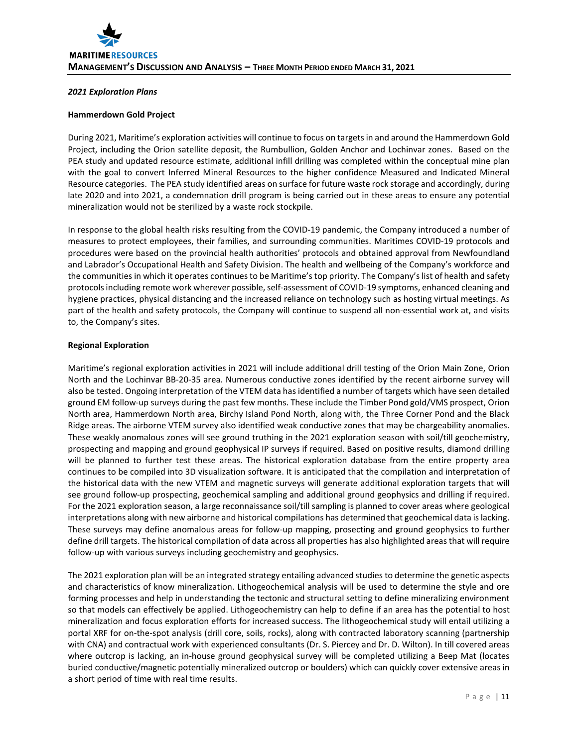# *2021 Exploration Plans*

# **Hammerdown Gold Project**

During 2021, Maritime's exploration activities will continue to focus on targets in and around the Hammerdown Gold Project, including the Orion satellite deposit, the Rumbullion, Golden Anchor and Lochinvar zones. Based on the PEA study and updated resource estimate, additional infill drilling was completed within the conceptual mine plan with the goal to convert Inferred Mineral Resources to the higher confidence Measured and Indicated Mineral Resource categories. The PEA study identified areas on surface for future waste rock storage and accordingly, during late 2020 and into 2021, a condemnation drill program is being carried out in these areas to ensure any potential mineralization would not be sterilized by a waste rock stockpile.

In response to the global health risks resulting from the COVID-19 pandemic, the Company introduced a number of measures to protect employees, their families, and surrounding communities. Maritimes COVID-19 protocols and procedures were based on the provincial health authorities' protocols and obtained approval from Newfoundland and Labrador's Occupational Health and Safety Division. The health and wellbeing of the Company's workforce and the communities in which it operates continues to be Maritime's top priority. The Company'slist of health and safety protocols including remote work wherever possible, self-assessment of COVID-19 symptoms, enhanced cleaning and hygiene practices, physical distancing and the increased reliance on technology such as hosting virtual meetings. As part of the health and safety protocols, the Company will continue to suspend all non-essential work at, and visits to, the Company's sites.

# **Regional Exploration**

Maritime's regional exploration activities in 2021 will include additional drill testing of the Orion Main Zone, Orion North and the Lochinvar BB-20-35 area. Numerous conductive zones identified by the recent airborne survey will also be tested. Ongoing interpretation of the VTEM data has identified a number of targets which have seen detailed ground EM follow-up surveys during the past few months. These include the Timber Pond gold/VMS prospect, Orion North area, Hammerdown North area, Birchy Island Pond North, along with, the Three Corner Pond and the Black Ridge areas. The airborne VTEM survey also identified weak conductive zones that may be chargeability anomalies. These weakly anomalous zones will see ground truthing in the 2021 exploration season with soil/till geochemistry, prospecting and mapping and ground geophysical IP surveys if required. Based on positive results, diamond drilling will be planned to further test these areas. The historical exploration database from the entire property area continues to be compiled into 3D visualization software. It is anticipated that the compilation and interpretation of the historical data with the new VTEM and magnetic surveys will generate additional exploration targets that will see ground follow-up prospecting, geochemical sampling and additional ground geophysics and drilling if required. For the 2021 exploration season, a large reconnaissance soil/till sampling is planned to cover areas where geological interpretations along with new airborne and historical compilations has determined that geochemical data is lacking. These surveys may define anomalous areas for follow-up mapping, prosecting and ground geophysics to further define drill targets. The historical compilation of data across all properties has also highlighted areas that will require follow-up with various surveys including geochemistry and geophysics.

The 2021 exploration plan will be an integrated strategy entailing advanced studies to determine the genetic aspects and characteristics of know mineralization. Lithogeochemical analysis will be used to determine the style and ore forming processes and help in understanding the tectonic and structural setting to define mineralizing environment so that models can effectively be applied. Lithogeochemistry can help to define if an area has the potential to host mineralization and focus exploration efforts for increased success. The lithogeochemical study will entail utilizing a portal XRF for on-the-spot analysis (drill core, soils, rocks), along with contracted laboratory scanning (partnership with CNA) and contractual work with experienced consultants (Dr. S. Piercey and Dr. D. Wilton). In till covered areas where outcrop is lacking, an in-house ground geophysical survey will be completed utilizing a Beep Mat (locates buried conductive/magnetic potentially mineralized outcrop or boulders) which can quickly cover extensive areas in a short period of time with real time results.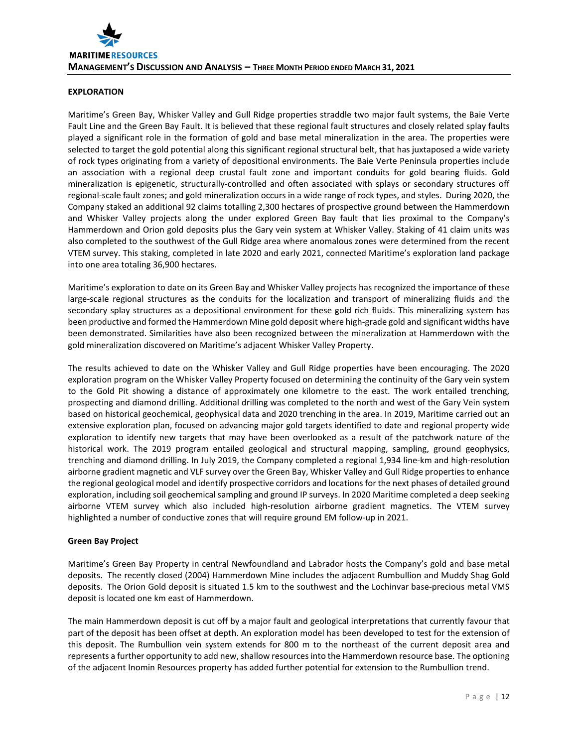# **EXPLORATION**

Maritime's Green Bay, Whisker Valley and Gull Ridge properties straddle two major fault systems, the Baie Verte Fault Line and the Green Bay Fault. It is believed that these regional fault structures and closely related splay faults played a significant role in the formation of gold and base metal mineralization in the area. The properties were selected to target the gold potential along this significant regional structural belt, that has juxtaposed a wide variety of rock types originating from a variety of depositional environments. The Baie Verte Peninsula properties include an association with a regional deep crustal fault zone and important conduits for gold bearing fluids. Gold mineralization is epigenetic, structurally-controlled and often associated with splays or secondary structures off regional-scale fault zones; and gold mineralization occurs in a wide range of rock types, and styles. During 2020, the Company staked an additional 92 claims totalling 2,300 hectares of prospective ground between the Hammerdown and Whisker Valley projects along the under explored Green Bay fault that lies proximal to the Company's Hammerdown and Orion gold deposits plus the Gary vein system at Whisker Valley. Staking of 41 claim units was also completed to the southwest of the Gull Ridge area where anomalous zones were determined from the recent VTEM survey. This staking, completed in late 2020 and early 2021, connected Maritime's exploration land package into one area totaling 36,900 hectares.

Maritime's exploration to date on its Green Bay and Whisker Valley projects has recognized the importance of these large-scale regional structures as the conduits for the localization and transport of mineralizing fluids and the secondary splay structures as a depositional environment for these gold rich fluids. This mineralizing system has been productive and formed the Hammerdown Mine gold deposit where high-grade gold and significant widths have been demonstrated. Similarities have also been recognized between the mineralization at Hammerdown with the gold mineralization discovered on Maritime's adjacent Whisker Valley Property.

The results achieved to date on the Whisker Valley and Gull Ridge properties have been encouraging. The 2020 exploration program on the Whisker Valley Property focused on determining the continuity of the Gary vein system to the Gold Pit showing a distance of approximately one kilometre to the east. The work entailed trenching, prospecting and diamond drilling. Additional drilling was completed to the north and west of the Gary Vein system based on historical geochemical, geophysical data and 2020 trenching in the area. In 2019, Maritime carried out an extensive exploration plan, focused on advancing major gold targets identified to date and regional property wide exploration to identify new targets that may have been overlooked as a result of the patchwork nature of the historical work. The 2019 program entailed geological and structural mapping, sampling, ground geophysics, trenching and diamond drilling. In July 2019, the Company completed a regional 1,934 line-km and high-resolution airborne gradient magnetic and VLF survey over the Green Bay, Whisker Valley and Gull Ridge properties to enhance the regional geological model and identify prospective corridors and locations for the next phases of detailed ground exploration, including soil geochemical sampling and ground IP surveys. In 2020 Maritime completed a deep seeking airborne VTEM survey which also included high-resolution airborne gradient magnetics. The VTEM survey highlighted a number of conductive zones that will require ground EM follow-up in 2021.

# **Green Bay Project**

Maritime's Green Bay Property in central Newfoundland and Labrador hosts the Company's gold and base metal deposits. The recently closed (2004) Hammerdown Mine includes the adjacent Rumbullion and Muddy Shag Gold deposits. The Orion Gold deposit is situated 1.5 km to the southwest and the Lochinvar base-precious metal VMS deposit is located one km east of Hammerdown.

The main Hammerdown deposit is cut off by a major fault and geological interpretations that currently favour that part of the deposit has been offset at depth. An exploration model has been developed to test for the extension of this deposit. The Rumbullion vein system extends for 800 m to the northeast of the current deposit area and represents a further opportunity to add new, shallow resources into the Hammerdown resource base. The optioning of the adjacent Inomin Resources property has added further potential for extension to the Rumbullion trend.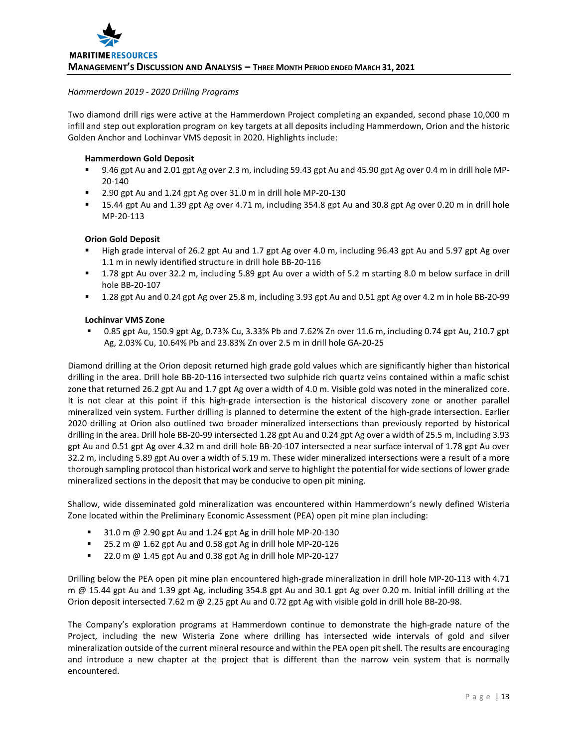# *Hammerdown 2019 - 2020 Drilling Programs*

Two diamond drill rigs were active at the Hammerdown Project completing an expanded, second phase 10,000 m infill and step out exploration program on key targets at all deposits including Hammerdown, Orion and the historic Golden Anchor and Lochinvar VMS deposit in 2020. Highlights include:

# **Hammerdown Gold Deposit**

- 9.46 gpt Au and 2.01 gpt Ag over 2.3 m, including 59.43 gpt Au and 45.90 gpt Ag over 0.4 m in drill hole MP-20-140
- 2.90 gpt Au and 1.24 gpt Ag over 31.0 m in drill hole MP-20-130
- 15.44 gpt Au and 1.39 gpt Ag over 4.71 m, including 354.8 gpt Au and 30.8 gpt Ag over 0.20 m in drill hole MP-20-113

# **Orion Gold Deposit**

- High grade interval of 26.2 gpt Au and 1.7 gpt Ag over 4.0 m, including 96.43 gpt Au and 5.97 gpt Ag over 1.1 m in newly identified structure in drill hole BB-20-116
- 1.78 gpt Au over 32.2 m, including 5.89 gpt Au over a width of 5.2 m starting 8.0 m below surface in drill hole BB-20-107
- 1.28 gpt Au and 0.24 gpt Ag over 25.8 m, including 3.93 gpt Au and 0.51 gpt Ag over 4.2 m in hole BB-20-99

# **Lochinvar VMS Zone**

 0.85 gpt Au, 150.9 gpt Ag, 0.73% Cu, 3.33% Pb and 7.62% Zn over 11.6 m, including 0.74 gpt Au, 210.7 gpt Ag, 2.03% Cu, 10.64% Pb and 23.83% Zn over 2.5 m in drill hole GA-20-25

Diamond drilling at the Orion deposit returned high grade gold values which are significantly higher than historical drilling in the area. Drill hole BB-20-116 intersected two sulphide rich quartz veins contained within a mafic schist zone that returned 26.2 gpt Au and 1.7 gpt Ag over a width of 4.0 m. Visible gold was noted in the mineralized core. It is not clear at this point if this high-grade intersection is the historical discovery zone or another parallel mineralized vein system. Further drilling is planned to determine the extent of the high-grade intersection. Earlier 2020 drilling at Orion also outlined two broader mineralized intersections than previously reported by historical drilling in the area. Drill hole BB-20-99 intersected 1.28 gpt Au and 0.24 gpt Ag over a width of 25.5 m, including 3.93 gpt Au and 0.51 gpt Ag over 4.32 m and drill hole BB-20-107 intersected a near surface interval of 1.78 gpt Au over 32.2 m, including 5.89 gpt Au over a width of 5.19 m. These wider mineralized intersections were a result of a more thorough sampling protocol than historical work and serve to highlight the potential for wide sections of lower grade mineralized sections in the deposit that may be conducive to open pit mining.

Shallow, wide disseminated gold mineralization was encountered within Hammerdown's newly defined Wisteria Zone located within the Preliminary Economic Assessment (PEA) open pit mine plan including:

- 31.0 m @ 2.90 gpt Au and 1.24 gpt Ag in drill hole MP-20-130
- 25.2 m @ 1.62 gpt Au and 0.58 gpt Ag in drill hole MP-20-126
- 22.0 m @ 1.45 gpt Au and 0.38 gpt Ag in drill hole MP-20-127

Drilling below the PEA open pit mine plan encountered high-grade mineralization in drill hole MP-20-113 with 4.71 m @ 15.44 gpt Au and 1.39 gpt Ag, including 354.8 gpt Au and 30.1 gpt Ag over 0.20 m. Initial infill drilling at the Orion deposit intersected 7.62 m @ 2.25 gpt Au and 0.72 gpt Ag with visible gold in drill hole BB-20-98.

The Company's exploration programs at Hammerdown continue to demonstrate the high-grade nature of the Project, including the new Wisteria Zone where drilling has intersected wide intervals of gold and silver mineralization outside of the current mineral resource and within the PEA open pit shell. The results are encouraging and introduce a new chapter at the project that is different than the narrow vein system that is normally encountered.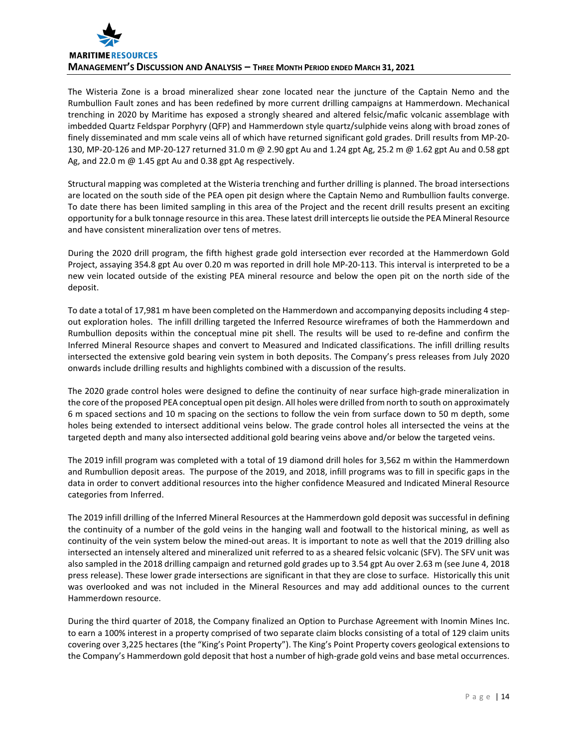

The Wisteria Zone is a broad mineralized shear zone located near the juncture of the Captain Nemo and the Rumbullion Fault zones and has been redefined by more current drilling campaigns at Hammerdown. Mechanical trenching in 2020 by Maritime has exposed a strongly sheared and altered felsic/mafic volcanic assemblage with imbedded Quartz Feldspar Porphyry (QFP) and Hammerdown style quartz/sulphide veins along with broad zones of finely disseminated and mm scale veins all of which have returned significant gold grades. Drill results from MP-20- 130, MP-20-126 and MP-20-127 returned 31.0 m @ 2.90 gpt Au and 1.24 gpt Ag, 25.2 m @ 1.62 gpt Au and 0.58 gpt Ag, and 22.0 m @ 1.45 gpt Au and 0.38 gpt Ag respectively.

Structural mapping was completed at the Wisteria trenching and further drilling is planned. The broad intersections are located on the south side of the PEA open pit design where the Captain Nemo and Rumbullion faults converge. To date there has been limited sampling in this area of the Project and the recent drill results present an exciting opportunity for a bulk tonnage resource in this area. These latest drill intercepts lie outside the PEA Mineral Resource and have consistent mineralization over tens of metres.

During the 2020 drill program, the fifth highest grade gold intersection ever recorded at the Hammerdown Gold Project, assaying 354.8 gpt Au over 0.20 m was reported in drill hole MP-20-113. This interval is interpreted to be a new vein located outside of the existing PEA mineral resource and below the open pit on the north side of the deposit.

To date a total of 17,981 m have been completed on the Hammerdown and accompanying deposits including 4 stepout exploration holes. The infill drilling targeted the Inferred Resource wireframes of both the Hammerdown and Rumbullion deposits within the conceptual mine pit shell. The results will be used to re-define and confirm the Inferred Mineral Resource shapes and convert to Measured and Indicated classifications. The infill drilling results intersected the extensive gold bearing vein system in both deposits. The Company's press releases from July 2020 onwards include drilling results and highlights combined with a discussion of the results.

The 2020 grade control holes were designed to define the continuity of near surface high-grade mineralization in the core of the proposed PEA conceptual open pit design. All holes were drilled from north to south on approximately 6 m spaced sections and 10 m spacing on the sections to follow the vein from surface down to 50 m depth, some holes being extended to intersect additional veins below. The grade control holes all intersected the veins at the targeted depth and many also intersected additional gold bearing veins above and/or below the targeted veins.

The 2019 infill program was completed with a total of 19 diamond drill holes for 3,562 m within the Hammerdown and Rumbullion deposit areas. The purpose of the 2019, and 2018, infill programs was to fill in specific gaps in the data in order to convert additional resources into the higher confidence Measured and Indicated Mineral Resource categories from Inferred.

The 2019 infill drilling of the Inferred Mineral Resources at the Hammerdown gold deposit was successful in defining the continuity of a number of the gold veins in the hanging wall and footwall to the historical mining, as well as continuity of the vein system below the mined-out areas. It is important to note as well that the 2019 drilling also intersected an intensely altered and mineralized unit referred to as a sheared felsic volcanic (SFV). The SFV unit was also sampled in the 2018 drilling campaign and returned gold grades up to 3.54 gpt Au over 2.63 m (see June 4, 2018 press release). These lower grade intersections are significant in that they are close to surface. Historically this unit was overlooked and was not included in the Mineral Resources and may add additional ounces to the current Hammerdown resource.

During the third quarter of 2018, the Company finalized an Option to Purchase Agreement with Inomin Mines Inc. to earn a 100% interest in a property comprised of two separate claim blocks consisting of a total of 129 claim units covering over 3,225 hectares (the "King's Point Property"). The King's Point Property covers geological extensions to the Company's Hammerdown gold deposit that host a number of high-grade gold veins and base metal occurrences.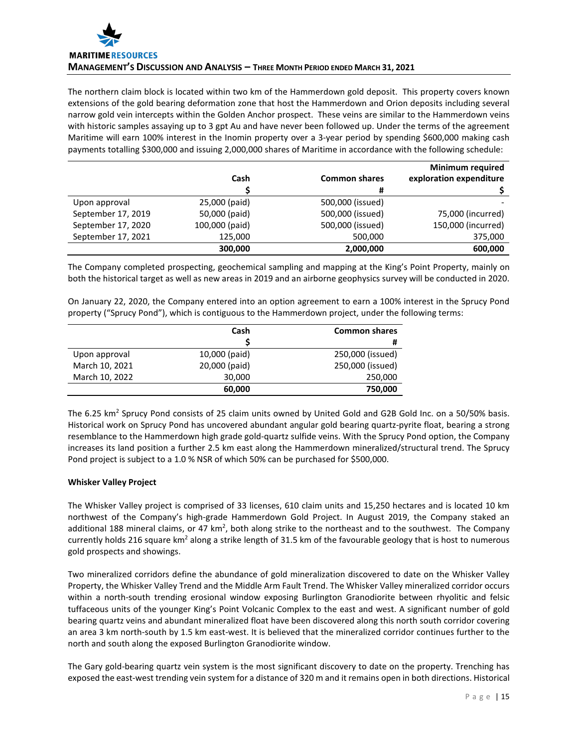The northern claim block is located within two km of the Hammerdown gold deposit. This property covers known extensions of the gold bearing deformation zone that host the Hammerdown and Orion deposits including several narrow gold vein intercepts within the Golden Anchor prospect. These veins are similar to the Hammerdown veins with historic samples assaying up to 3 gpt Au and have never been followed up. Under the terms of the agreement Maritime will earn 100% interest in the Inomin property over a 3-year period by spending \$600,000 making cash payments totalling \$300,000 and issuing 2,000,000 shares of Maritime in accordance with the following schedule:

|                    |                |                      | <b>Minimum required</b> |
|--------------------|----------------|----------------------|-------------------------|
|                    | Cash           | <b>Common shares</b> | exploration expenditure |
|                    |                | #                    |                         |
| Upon approval      | 25,000 (paid)  | 500,000 (issued)     |                         |
| September 17, 2019 | 50,000 (paid)  | 500,000 (issued)     | 75,000 (incurred)       |
| September 17, 2020 | 100,000 (paid) | 500,000 (issued)     | 150,000 (incurred)      |
| September 17, 2021 | 125,000        | 500,000              | 375,000                 |
|                    | 300,000        | 2,000,000            | 600,000                 |

The Company completed prospecting, geochemical sampling and mapping at the King's Point Property, mainly on both the historical target as well as new areas in 2019 and an airborne geophysics survey will be conducted in 2020.

On January 22, 2020, the Company entered into an option agreement to earn a 100% interest in the Sprucy Pond property ("Sprucy Pond"), which is contiguous to the Hammerdown project, under the following terms:

|                | Cash          | <b>Common shares</b> |
|----------------|---------------|----------------------|
|                |               | #                    |
| Upon approval  | 10,000 (paid) | 250,000 (issued)     |
| March 10, 2021 | 20,000 (paid) | 250,000 (issued)     |
| March 10, 2022 | 30,000        | 250,000              |
|                | 60,000        | 750,000              |

The 6.25 km<sup>2</sup> Sprucy Pond consists of 25 claim units owned by United Gold and G2B Gold Inc. on a 50/50% basis. Historical work on Sprucy Pond has uncovered abundant angular gold bearing quartz-pyrite float, bearing a strong resemblance to the Hammerdown high grade gold-quartz sulfide veins. With the Sprucy Pond option, the Company increases its land position a further 2.5 km east along the Hammerdown mineralized/structural trend. The Sprucy Pond project is subject to a 1.0 % NSR of which 50% can be purchased for \$500,000.

# **Whisker Valley Project**

The Whisker Valley project is comprised of 33 licenses, 610 claim units and 15,250 hectares and is located 10 km northwest of the Company's high-grade Hammerdown Gold Project. In August 2019, the Company staked an additional 188 mineral claims, or 47 km<sup>2</sup>, both along strike to the northeast and to the southwest. The Company currently holds 216 square km<sup>2</sup> along a strike length of 31.5 km of the favourable geology that is host to numerous gold prospects and showings.

Two mineralized corridors define the abundance of gold mineralization discovered to date on the Whisker Valley Property, the Whisker Valley Trend and the Middle Arm Fault Trend. The Whisker Valley mineralized corridor occurs within a north-south trending erosional window exposing Burlington Granodiorite between rhyolitic and felsic tuffaceous units of the younger King's Point Volcanic Complex to the east and west. A significant number of gold bearing quartz veins and abundant mineralized float have been discovered along this north south corridor covering an area 3 km north-south by 1.5 km east-west. It is believed that the mineralized corridor continues further to the north and south along the exposed Burlington Granodiorite window.

The Gary gold-bearing quartz vein system is the most significant discovery to date on the property. Trenching has exposed the east-west trending vein system for a distance of 320 m and it remains open in both directions. Historical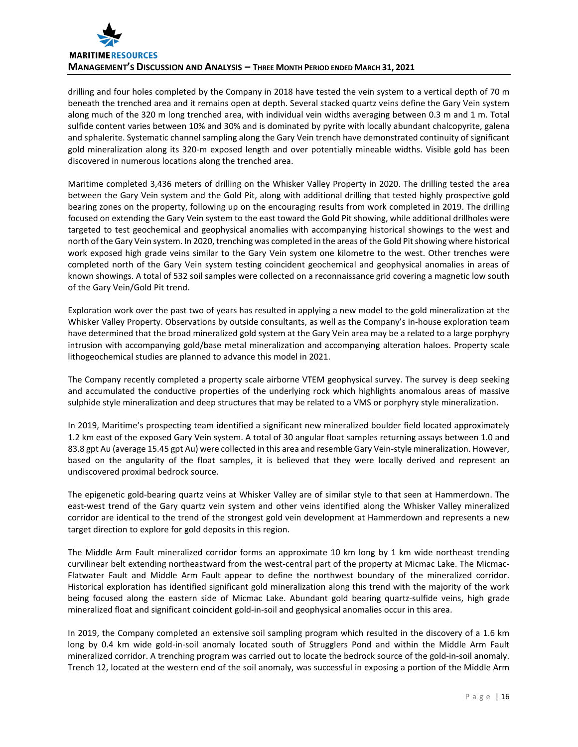

drilling and four holes completed by the Company in 2018 have tested the vein system to a vertical depth of 70 m beneath the trenched area and it remains open at depth. Several stacked quartz veins define the Gary Vein system along much of the 320 m long trenched area, with individual vein widths averaging between 0.3 m and 1 m. Total sulfide content varies between 10% and 30% and is dominated by pyrite with locally abundant chalcopyrite, galena and sphalerite. Systematic channel sampling along the Gary Vein trench have demonstrated continuity of significant gold mineralization along its 320-m exposed length and over potentially mineable widths. Visible gold has been discovered in numerous locations along the trenched area.

Maritime completed 3,436 meters of drilling on the Whisker Valley Property in 2020. The drilling tested the area between the Gary Vein system and the Gold Pit, along with additional drilling that tested highly prospective gold bearing zones on the property, following up on the encouraging results from work completed in 2019. The drilling focused on extending the Gary Vein system to the east toward the Gold Pit showing, while additional drillholes were targeted to test geochemical and geophysical anomalies with accompanying historical showings to the west and north of the Gary Vein system. In 2020, trenching was completed in the areas of the Gold Pit showing where historical work exposed high grade veins similar to the Gary Vein system one kilometre to the west. Other trenches were completed north of the Gary Vein system testing coincident geochemical and geophysical anomalies in areas of known showings. A total of 532 soil samples were collected on a reconnaissance grid covering a magnetic low south of the Gary Vein/Gold Pit trend.

Exploration work over the past two of years has resulted in applying a new model to the gold mineralization at the Whisker Valley Property. Observations by outside consultants, as well as the Company's in-house exploration team have determined that the broad mineralized gold system at the Gary Vein area may be a related to a large porphyry intrusion with accompanying gold/base metal mineralization and accompanying alteration haloes. Property scale lithogeochemical studies are planned to advance this model in 2021.

The Company recently completed a property scale airborne VTEM geophysical survey. The survey is deep seeking and accumulated the conductive properties of the underlying rock which highlights anomalous areas of massive sulphide style mineralization and deep structures that may be related to a VMS or porphyry style mineralization.

In 2019, Maritime's prospecting team identified a significant new mineralized boulder field located approximately 1.2 km east of the exposed Gary Vein system. A total of 30 angular float samples returning assays between 1.0 and 83.8 gpt Au (average 15.45 gpt Au) were collected in this area and resemble Gary Vein-style mineralization. However, based on the angularity of the float samples, it is believed that they were locally derived and represent an undiscovered proximal bedrock source.

The epigenetic gold-bearing quartz veins at Whisker Valley are of similar style to that seen at Hammerdown. The east-west trend of the Gary quartz vein system and other veins identified along the Whisker Valley mineralized corridor are identical to the trend of the strongest gold vein development at Hammerdown and represents a new target direction to explore for gold deposits in this region.

The Middle Arm Fault mineralized corridor forms an approximate 10 km long by 1 km wide northeast trending curvilinear belt extending northeastward from the west-central part of the property at Micmac Lake. The Micmac-Flatwater Fault and Middle Arm Fault appear to define the northwest boundary of the mineralized corridor. Historical exploration has identified significant gold mineralization along this trend with the majority of the work being focused along the eastern side of Micmac Lake. Abundant gold bearing quartz-sulfide veins, high grade mineralized float and significant coincident gold-in-soil and geophysical anomalies occur in this area.

In 2019, the Company completed an extensive soil sampling program which resulted in the discovery of a 1.6 km long by 0.4 km wide gold-in-soil anomaly located south of Strugglers Pond and within the Middle Arm Fault mineralized corridor. A trenching program was carried out to locate the bedrock source of the gold-in-soil anomaly. Trench 12, located at the western end of the soil anomaly, was successful in exposing a portion of the Middle Arm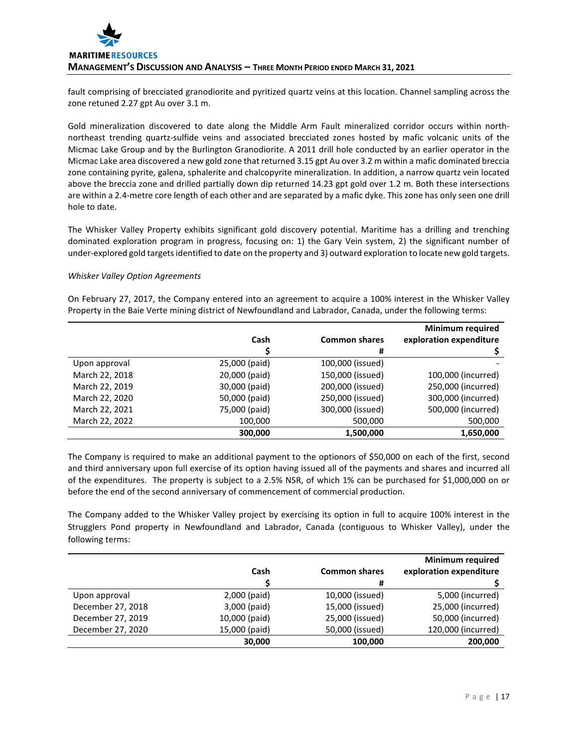

fault comprising of brecciated granodiorite and pyritized quartz veins at this location. Channel sampling across the zone retuned 2.27 gpt Au over 3.1 m.

Gold mineralization discovered to date along the Middle Arm Fault mineralized corridor occurs within northnortheast trending quartz-sulfide veins and associated brecciated zones hosted by mafic volcanic units of the Micmac Lake Group and by the Burlington Granodiorite. A 2011 drill hole conducted by an earlier operator in the Micmac Lake area discovered a new gold zone that returned 3.15 gpt Au over 3.2 m within a mafic dominated breccia zone containing pyrite, galena, sphalerite and chalcopyrite mineralization. In addition, a narrow quartz vein located above the breccia zone and drilled partially down dip returned 14.23 gpt gold over 1.2 m. Both these intersections are within a 2.4-metre core length of each other and are separated by a mafic dyke. This zone has only seen one drill hole to date.

The Whisker Valley Property exhibits significant gold discovery potential. Maritime has a drilling and trenching dominated exploration program in progress, focusing on: 1) the Gary Vein system, 2) the significant number of under-explored gold targets identified to date on the property and 3) outward exploration to locate new gold targets.

# *Whisker Valley Option Agreements*

On February 27, 2017, the Company entered into an agreement to acquire a 100% interest in the Whisker Valley Property in the Baie Verte mining district of Newfoundland and Labrador, Canada, under the following terms:

|                |               |                      | <b>Minimum required</b> |
|----------------|---------------|----------------------|-------------------------|
|                | Cash          | <b>Common shares</b> | exploration expenditure |
|                |               | #                    |                         |
| Upon approval  | 25,000 (paid) | 100,000 (issued)     |                         |
| March 22, 2018 | 20,000 (paid) | 150,000 (issued)     | 100,000 (incurred)      |
| March 22, 2019 | 30,000 (paid) | 200,000 (issued)     | 250,000 (incurred)      |
| March 22, 2020 | 50,000 (paid) | 250,000 (issued)     | 300,000 (incurred)      |
| March 22, 2021 | 75,000 (paid) | 300,000 (issued)     | 500,000 (incurred)      |
| March 22, 2022 | 100,000       | 500,000              | 500,000                 |
|                | 300,000       | 1,500,000            | 1,650,000               |

The Company is required to make an additional payment to the optionors of \$50,000 on each of the first, second and third anniversary upon full exercise of its option having issued all of the payments and shares and incurred all of the expenditures. The property is subject to a 2.5% NSR, of which 1% can be purchased for \$1,000,000 on or before the end of the second anniversary of commencement of commercial production.

The Company added to the Whisker Valley project by exercising its option in full to acquire 100% interest in the Strugglers Pond property in Newfoundland and Labrador, Canada (contiguous to Whisker Valley), under the following terms:

|                   |               |                      | <b>Minimum required</b> |
|-------------------|---------------|----------------------|-------------------------|
|                   | Cash          | <b>Common shares</b> | exploration expenditure |
|                   |               | #                    |                         |
| Upon approval     | 2,000 (paid)  | 10,000 (issued)      | 5,000 (incurred)        |
| December 27, 2018 | 3,000 (paid)  | 15,000 (issued)      | 25,000 (incurred)       |
| December 27, 2019 | 10,000 (paid) | 25,000 (issued)      | 50,000 (incurred)       |
| December 27, 2020 | 15,000 (paid) | 50,000 (issued)      | 120,000 (incurred)      |
|                   | 30,000        | 100,000              | 200,000                 |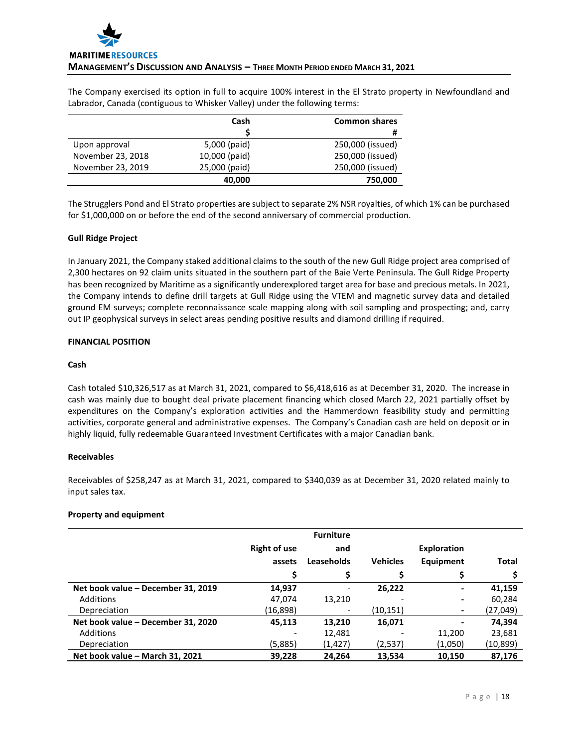The Company exercised its option in full to acquire 100% interest in the El Strato property in Newfoundland and Labrador, Canada (contiguous to Whisker Valley) under the following terms:

|                   | Cash          | <b>Common shares</b> |
|-------------------|---------------|----------------------|
|                   |               | #                    |
| Upon approval     | 5,000 (paid)  | 250,000 (issued)     |
| November 23, 2018 | 10,000 (paid) | 250,000 (issued)     |
| November 23, 2019 | 25,000 (paid) | 250,000 (issued)     |
|                   | 40,000        | 750,000              |

The Strugglers Pond and El Strato properties are subject to separate 2% NSR royalties, of which 1% can be purchased for \$1,000,000 on or before the end of the second anniversary of commercial production.

# **Gull Ridge Project**

In January 2021, the Company staked additional claims to the south of the new Gull Ridge project area comprised of 2,300 hectares on 92 claim units situated in the southern part of the Baie Verte Peninsula. The Gull Ridge Property has been recognized by Maritime as a significantly underexplored target area for base and precious metals. In 2021, the Company intends to define drill targets at Gull Ridge using the VTEM and magnetic survey data and detailed ground EM surveys; complete reconnaissance scale mapping along with soil sampling and prospecting; and, carry out IP geophysical surveys in select areas pending positive results and diamond drilling if required.

# **FINANCIAL POSITION**

# **Cash**

Cash totaled \$10,326,517 as at March 31, 2021, compared to \$6,418,616 as at December 31, 2020. The increase in cash was mainly due to bought deal private placement financing which closed March 22, 2021 partially offset by expenditures on the Company's exploration activities and the Hammerdown feasibility study and permitting activities, corporate general and administrative expenses. The Company's Canadian cash are held on deposit or in highly liquid, fully redeemable Guaranteed Investment Certificates with a major Canadian bank.

# **Receivables**

Receivables of \$258,247 as at March 31, 2021, compared to \$340,039 as at December 31, 2020 related mainly to input sales tax.

# **Property and equipment**

|                                    |                     | <b>Furniture</b> |                 |                    |              |
|------------------------------------|---------------------|------------------|-----------------|--------------------|--------------|
|                                    | <b>Right of use</b> | and              |                 | <b>Exploration</b> |              |
|                                    | assets              | Leaseholds       | <b>Vehicles</b> | Equipment          | <b>Total</b> |
|                                    | ċ                   | \$               |                 | \$                 |              |
| Net book value - December 31, 2019 | 14,937              |                  | 26,222          |                    | 41.159       |
| <b>Additions</b>                   | 47,074              | 13,210           |                 |                    | 60,284       |
| Depreciation                       | (16,898)            |                  | (10,151)        |                    | (27,049)     |
| Net book value - December 31, 2020 | 45,113              | 13,210           | 16,071          |                    | 74,394       |
| Additions                          |                     | 12,481           |                 | 11,200             | 23,681       |
| Depreciation                       | (5,885)             | (1, 427)         | (2,537)         | (1,050)            | (10,899)     |
| Net book value - March 31, 2021    | 39,228              | 24.264           | 13.534          | 10.150             | 87.176       |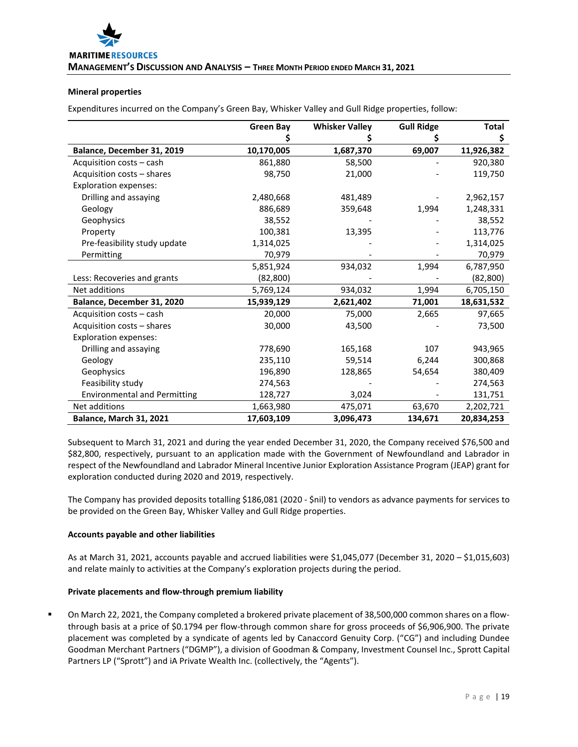# **Mineral properties**

Expenditures incurred on the Company's Green Bay, Whisker Valley and Gull Ridge properties, follow:

|                                     | <b>Green Bay</b> | <b>Whisker Valley</b> | <b>Gull Ridge</b> | <b>Total</b> |
|-------------------------------------|------------------|-----------------------|-------------------|--------------|
|                                     |                  | Ş                     | Ş                 | \$           |
| Balance, December 31, 2019          | 10,170,005       | 1,687,370             | 69,007            | 11,926,382   |
| Acquisition costs - cash            | 861,880          | 58,500                |                   | 920,380      |
| Acquisition costs - shares          | 98,750           | 21,000                |                   | 119,750      |
| <b>Exploration expenses:</b>        |                  |                       |                   |              |
| Drilling and assaying               | 2,480,668        | 481,489               |                   | 2,962,157    |
| Geology                             | 886,689          | 359,648               | 1,994             | 1,248,331    |
| Geophysics                          | 38,552           |                       |                   | 38,552       |
| Property                            | 100,381          | 13,395                |                   | 113,776      |
| Pre-feasibility study update        | 1,314,025        |                       |                   | 1,314,025    |
| Permitting                          | 70,979           |                       |                   | 70,979       |
|                                     | 5,851,924        | 934,032               | 1,994             | 6,787,950    |
| Less: Recoveries and grants         | (82, 800)        |                       |                   | (82, 800)    |
| Net additions                       | 5,769,124        | 934,032               | 1,994             | 6,705,150    |
| Balance, December 31, 2020          | 15,939,129       | 2,621,402             | 71,001            | 18,631,532   |
| Acquisition costs - cash            | 20,000           | 75,000                | 2,665             | 97,665       |
| Acquisition costs - shares          | 30,000           | 43,500                |                   | 73,500       |
| <b>Exploration expenses:</b>        |                  |                       |                   |              |
| Drilling and assaying               | 778,690          | 165,168               | 107               | 943,965      |
| Geology                             | 235,110          | 59,514                | 6,244             | 300,868      |
| Geophysics                          | 196,890          | 128,865               | 54,654            | 380,409      |
| Feasibility study                   | 274,563          |                       |                   | 274,563      |
| <b>Environmental and Permitting</b> | 128,727          | 3,024                 |                   | 131,751      |
| Net additions                       | 1,663,980        | 475,071               | 63,670            | 2,202,721    |
| Balance, March 31, 2021             | 17,603,109       | 3,096,473             | 134,671           | 20,834,253   |

Subsequent to March 31, 2021 and during the year ended December 31, 2020, the Company received \$76,500 and \$82,800, respectively, pursuant to an application made with the Government of Newfoundland and Labrador in respect of the Newfoundland and Labrador Mineral Incentive Junior Exploration Assistance Program (JEAP) grant for exploration conducted during 2020 and 2019, respectively.

The Company has provided deposits totalling \$186,081 (2020 - \$nil) to vendors as advance payments for services to be provided on the Green Bay, Whisker Valley and Gull Ridge properties.

# **Accounts payable and other liabilities**

As at March 31, 2021, accounts payable and accrued liabilities were \$1,045,077 (December 31, 2020 – \$1,015,603) and relate mainly to activities at the Company's exploration projects during the period.

# **Private placements and flow-through premium liability**

 On March 22, 2021, the Company completed a brokered private placement of 38,500,000 common shares on a flowthrough basis at a price of \$0.1794 per flow-through common share for gross proceeds of \$6,906,900. The private placement was completed by a syndicate of agents led by Canaccord Genuity Corp. ("CG") and including Dundee Goodman Merchant Partners ("DGMP"), a division of Goodman & Company, Investment Counsel Inc., Sprott Capital Partners LP ("Sprott") and iA Private Wealth Inc. (collectively, the "Agents").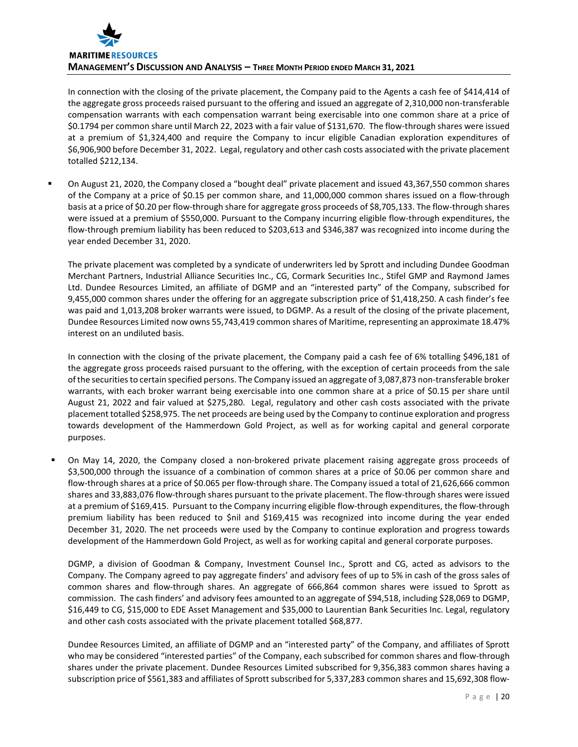

In connection with the closing of the private placement, the Company paid to the Agents a cash fee of \$414,414 of the aggregate gross proceeds raised pursuant to the offering and issued an aggregate of 2,310,000 non-transferable compensation warrants with each compensation warrant being exercisable into one common share at a price of \$0.1794 per common share until March 22, 2023 with a fair value of \$131,670. The flow-through shares were issued at a premium of \$1,324,400 and require the Company to incur eligible Canadian exploration expenditures of \$6,906,900 before December 31, 2022. Legal, regulatory and other cash costs associated with the private placement totalled \$212,134.

 On August 21, 2020, the Company closed a "bought deal" private placement and issued 43,367,550 common shares of the Company at a price of \$0.15 per common share, and 11,000,000 common shares issued on a flow-through basis at a price of \$0.20 per flow-through share for aggregate gross proceeds of \$8,705,133. The flow-through shares were issued at a premium of \$550,000. Pursuant to the Company incurring eligible flow-through expenditures, the flow-through premium liability has been reduced to \$203,613 and \$346,387 was recognized into income during the year ended December 31, 2020.

The private placement was completed by a syndicate of underwriters led by Sprott and including Dundee Goodman Merchant Partners, Industrial Alliance Securities Inc., CG, Cormark Securities Inc., Stifel GMP and Raymond James Ltd. Dundee Resources Limited, an affiliate of DGMP and an "interested party" of the Company, subscribed for 9,455,000 common shares under the offering for an aggregate subscription price of \$1,418,250. A cash finder's fee was paid and 1,013,208 broker warrants were issued, to DGMP. As a result of the closing of the private placement, Dundee Resources Limited now owns 55,743,419 common shares of Maritime, representing an approximate 18.47% interest on an undiluted basis.

In connection with the closing of the private placement, the Company paid a cash fee of 6% totalling \$496,181 of the aggregate gross proceeds raised pursuant to the offering, with the exception of certain proceeds from the sale of the securities to certain specified persons. The Company issued an aggregate of 3,087,873 non-transferable broker warrants, with each broker warrant being exercisable into one common share at a price of \$0.15 per share until August 21, 2022 and fair valued at \$275,280. Legal, regulatory and other cash costs associated with the private placement totalled \$258,975. The net proceeds are being used by the Company to continue exploration and progress towards development of the Hammerdown Gold Project, as well as for working capital and general corporate purposes.

 On May 14, 2020, the Company closed a non-brokered private placement raising aggregate gross proceeds of \$3,500,000 through the issuance of a combination of common shares at a price of \$0.06 per common share and flow-through shares at a price of \$0.065 per flow-through share. The Company issued a total of 21,626,666 common shares and 33,883,076 flow-through shares pursuant to the private placement. The flow-through shares were issued at a premium of \$169,415. Pursuant to the Company incurring eligible flow-through expenditures, the flow-through premium liability has been reduced to \$nil and \$169,415 was recognized into income during the year ended December 31, 2020. The net proceeds were used by the Company to continue exploration and progress towards development of the Hammerdown Gold Project, as well as for working capital and general corporate purposes.

DGMP, a division of Goodman & Company, Investment Counsel Inc., Sprott and CG, acted as advisors to the Company. The Company agreed to pay aggregate finders' and advisory fees of up to 5% in cash of the gross sales of common shares and flow-through shares. An aggregate of 666,864 common shares were issued to Sprott as commission. The cash finders' and advisory fees amounted to an aggregate of \$94,518, including \$28,069 to DGMP, \$16,449 to CG, \$15,000 to EDE Asset Management and \$35,000 to Laurentian Bank Securities Inc. Legal, regulatory and other cash costs associated with the private placement totalled \$68,877.

Dundee Resources Limited, an affiliate of DGMP and an "interested party" of the Company, and affiliates of Sprott who may be considered "interested parties" of the Company, each subscribed for common shares and flow-through shares under the private placement. Dundee Resources Limited subscribed for 9,356,383 common shares having a subscription price of \$561,383 and affiliates of Sprott subscribed for 5,337,283 common shares and 15,692,308 flow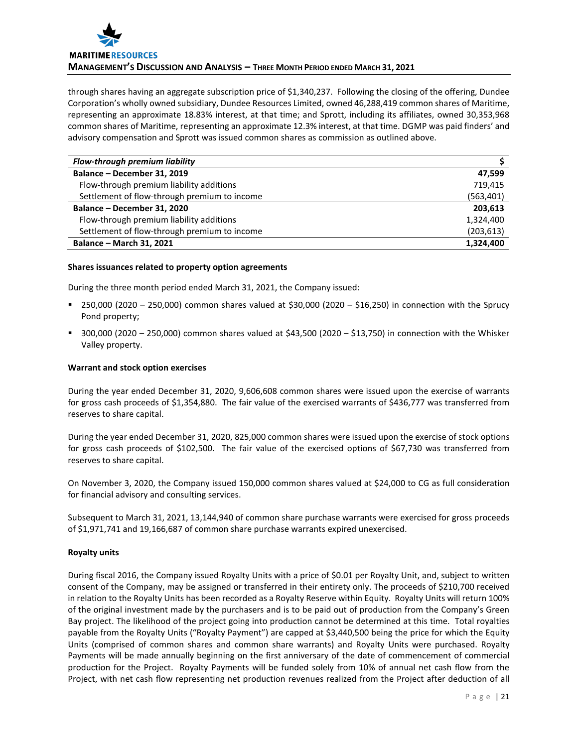through shares having an aggregate subscription price of \$1,340,237. Following the closing of the offering, Dundee Corporation's wholly owned subsidiary, Dundee Resources Limited, owned 46,288,419 common shares of Maritime, representing an approximate 18.83% interest, at that time; and Sprott, including its affiliates, owned 30,353,968 common shares of Maritime, representing an approximate 12.3% interest, at that time. DGMP was paid finders' and advisory compensation and Sprott was issued common shares as commission as outlined above.

| Flow-through premium liability               |            |
|----------------------------------------------|------------|
| Balance - December 31, 2019                  | 47,599     |
| Flow-through premium liability additions     | 719,415    |
| Settlement of flow-through premium to income | (563, 401) |
| Balance - December 31, 2020                  | 203,613    |
| Flow-through premium liability additions     | 1,324,400  |
| Settlement of flow-through premium to income | (203, 613) |
| <b>Balance - March 31, 2021</b>              | 1,324,400  |

# **Shares issuances related to property option agreements**

During the three month period ended March 31, 2021, the Company issued:

- $250,000$  (2020 250,000) common shares valued at \$30,000 (2020 \$16,250) in connection with the Sprucy Pond property;
- $=$  300,000 (2020 250,000) common shares valued at \$43,500 (2020 \$13,750) in connection with the Whisker Valley property.

# **Warrant and stock option exercises**

During the year ended December 31, 2020, 9,606,608 common shares were issued upon the exercise of warrants for gross cash proceeds of \$1,354,880. The fair value of the exercised warrants of \$436,777 was transferred from reserves to share capital.

During the year ended December 31, 2020, 825,000 common shares were issued upon the exercise of stock options for gross cash proceeds of \$102,500. The fair value of the exercised options of \$67,730 was transferred from reserves to share capital.

On November 3, 2020, the Company issued 150,000 common shares valued at \$24,000 to CG as full consideration for financial advisory and consulting services.

Subsequent to March 31, 2021, 13,144,940 of common share purchase warrants were exercised for gross proceeds of \$1,971,741 and 19,166,687 of common share purchase warrants expired unexercised.

# **Royalty units**

During fiscal 2016, the Company issued Royalty Units with a price of \$0.01 per Royalty Unit, and, subject to written consent of the Company, may be assigned or transferred in their entirety only. The proceeds of \$210,700 received in relation to the Royalty Units has been recorded as a Royalty Reserve within Equity. Royalty Units will return 100% of the original investment made by the purchasers and is to be paid out of production from the Company's Green Bay project. The likelihood of the project going into production cannot be determined at this time. Total royalties payable from the Royalty Units ("Royalty Payment") are capped at \$3,440,500 being the price for which the Equity Units (comprised of common shares and common share warrants) and Royalty Units were purchased. Royalty Payments will be made annually beginning on the first anniversary of the date of commencement of commercial production for the Project. Royalty Payments will be funded solely from 10% of annual net cash flow from the Project, with net cash flow representing net production revenues realized from the Project after deduction of all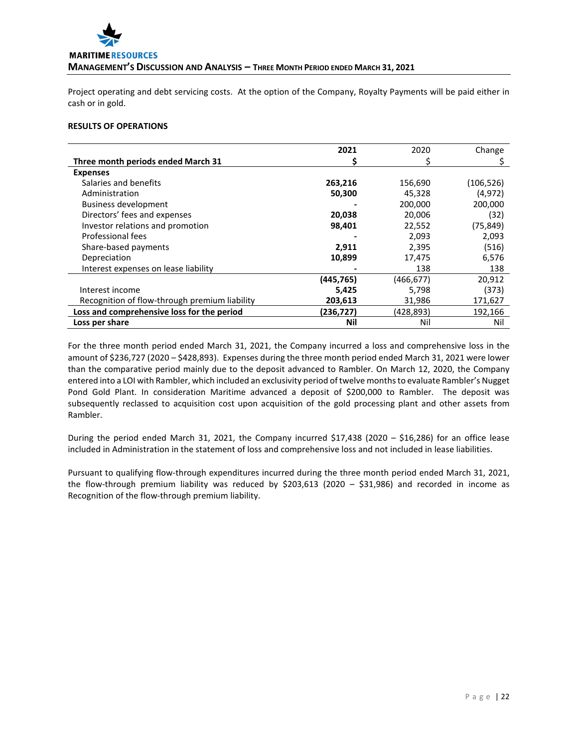

**MANAGEMENT'S DISCUSSION AND ANALYSIS – THREE MONTH PERIOD ENDED MARCH 31, 2021**

Project operating and debt servicing costs. At the option of the Company, Royalty Payments will be paid either in cash or in gold.

# **RESULTS OF OPERATIONS**

|                                               | 2021      | 2020       | Change    |
|-----------------------------------------------|-----------|------------|-----------|
| Three month periods ended March 31            |           |            |           |
| <b>Expenses</b>                               |           |            |           |
| Salaries and benefits                         | 263,216   | 156,690    | (106,526) |
| Administration                                | 50,300    | 45,328     | (4, 972)  |
| <b>Business development</b>                   |           | 200,000    | 200,000   |
| Directors' fees and expenses                  | 20,038    | 20,006     | (32)      |
| Investor relations and promotion              | 98,401    | 22,552     | (75, 849) |
| Professional fees                             |           | 2,093      | 2,093     |
| Share-based payments                          | 2,911     | 2,395      | (516)     |
| Depreciation                                  | 10,899    | 17,475     | 6,576     |
| Interest expenses on lease liability          |           | 138        | 138       |
|                                               | (445,765) | (466, 677) | 20,912    |
| Interest income                               | 5,425     | 5,798      | (373)     |
| Recognition of flow-through premium liability | 203,613   | 31,986     | 171,627   |
| Loss and comprehensive loss for the period    | (236,727) | (428,893)  | 192,166   |
| Loss per share                                | Nil       | Nil        | Nil       |

For the three month period ended March 31, 2021, the Company incurred a loss and comprehensive loss in the amount of \$236,727 (2020 – \$428,893). Expenses during the three month period ended March 31, 2021 were lower than the comparative period mainly due to the deposit advanced to Rambler. On March 12, 2020, the Company entered into a LOI with Rambler, which included an exclusivity period of twelve months to evaluate Rambler's Nugget Pond Gold Plant. In consideration Maritime advanced a deposit of \$200,000 to Rambler. The deposit was subsequently reclassed to acquisition cost upon acquisition of the gold processing plant and other assets from Rambler.

During the period ended March 31, 2021, the Company incurred \$17,438 (2020 – \$16,286) for an office lease included in Administration in the statement of loss and comprehensive loss and not included in lease liabilities.

Pursuant to qualifying flow-through expenditures incurred during the three month period ended March 31, 2021, the flow-through premium liability was reduced by  $$203,613$  (2020 –  $$31,986$ ) and recorded in income as Recognition of the flow-through premium liability.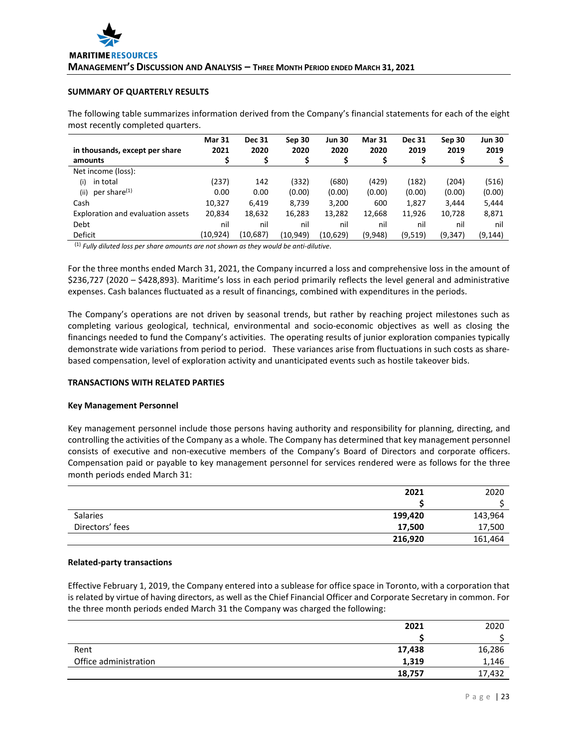# **SUMMARY OF QUARTERLY RESULTS**

The following table summarizes information derived from the Company's financial statements for each of the eight most recently completed quarters.

| in thousands, except per share    | <b>Mar 31</b><br>2021 | <b>Dec 31</b><br>2020 | Sep 30<br>2020 | <b>Jun 30</b><br>2020 | <b>Mar 31</b><br>2020 | <b>Dec 31</b><br>2019 | Sep 30<br>2019 | <b>Jun 30</b><br>2019 |
|-----------------------------------|-----------------------|-----------------------|----------------|-----------------------|-----------------------|-----------------------|----------------|-----------------------|
| amounts                           |                       |                       |                |                       |                       |                       |                |                       |
| Net income (loss):                |                       |                       |                |                       |                       |                       |                |                       |
| in total<br>(i)                   | (237)                 | 142                   | (332)          | (680)                 | (429)                 | (182)                 | (204)          | (516)                 |
| per share <sup>(1)</sup><br>(ii)  | 0.00                  | 0.00                  | (0.00)         | (0.00)                | (0.00)                | (0.00)                | (0.00)         | (0.00)                |
| Cash                              | 10,327                | 6.419                 | 8,739          | 3,200                 | 600                   | 1,827                 | 3.444          | 5,444                 |
| Exploration and evaluation assets | 20,834                | 18,632                | 16,283         | 13,282                | 12,668                | 11,926                | 10,728         | 8,871                 |
| Debt                              | nil                   | nil                   | nil            | nil                   | nil                   | nil                   | nil            | nil                   |
| Deficit                           | (10,924)              | (10,687)              | (10,949)       | (10, 629)             | (9,948)               | (9,519)               | (9, 347)       | (9,144)               |

(1) *Fully diluted loss per share amounts are not shown as they would be anti-dilutive*.

For the three months ended March 31, 2021, the Company incurred a loss and comprehensive loss in the amount of \$236,727 (2020 – \$428,893). Maritime's loss in each period primarily reflects the level general and administrative expenses. Cash balances fluctuated as a result of financings, combined with expenditures in the periods.

The Company's operations are not driven by seasonal trends, but rather by reaching project milestones such as completing various geological, technical, environmental and socio-economic objectives as well as closing the financings needed to fund the Company's activities. The operating results of junior exploration companies typically demonstrate wide variations from period to period. These variances arise from fluctuations in such costs as sharebased compensation, level of exploration activity and unanticipated events such as hostile takeover bids.

# **TRANSACTIONS WITH RELATED PARTIES**

#### **Key Management Personnel**

Key management personnel include those persons having authority and responsibility for planning, directing, and controlling the activities of the Company as a whole. The Company has determined that key management personnel consists of executive and non-executive members of the Company's Board of Directors and corporate officers. Compensation paid or payable to key management personnel for services rendered were as follows for the three month periods ended March 31:

|                 | 2021    | 2020    |
|-----------------|---------|---------|
|                 |         |         |
| <b>Salaries</b> | 199,420 | 143,964 |
| Directors' fees | 17,500  | 17,500  |
|                 | 216,920 | 161,464 |

#### **Related-party transactions**

Effective February 1, 2019, the Company entered into a sublease for office space in Toronto, with a corporation that is related by virtue of having directors, as well as the Chief Financial Officer and Corporate Secretary in common. For the three month periods ended March 31 the Company was charged the following:

|                       | 2021   | 2020   |
|-----------------------|--------|--------|
|                       |        |        |
| Rent                  | 17,438 | 16,286 |
| Office administration | 1,319  | 1,146  |
|                       | 18,757 | 17,432 |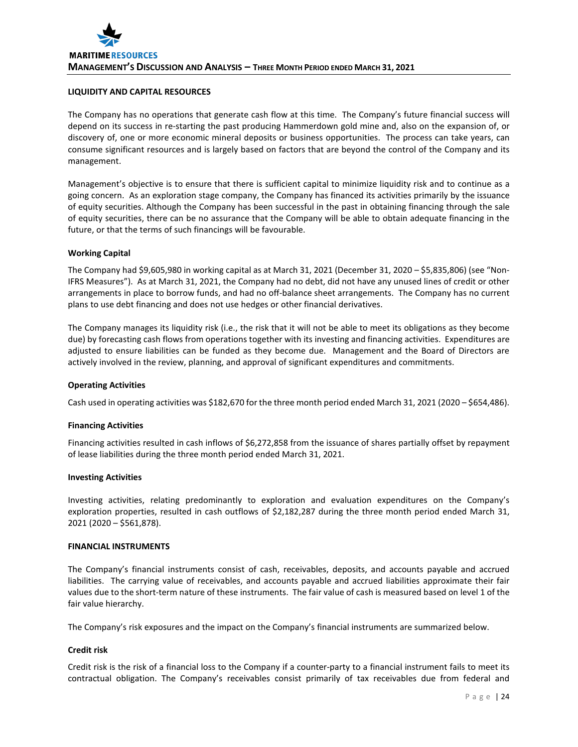# **LIQUIDITY AND CAPITAL RESOURCES**

The Company has no operations that generate cash flow at this time. The Company's future financial success will depend on its success in re-starting the past producing Hammerdown gold mine and, also on the expansion of, or discovery of, one or more economic mineral deposits or business opportunities. The process can take years, can consume significant resources and is largely based on factors that are beyond the control of the Company and its management.

Management's objective is to ensure that there is sufficient capital to minimize liquidity risk and to continue as a going concern. As an exploration stage company, the Company has financed its activities primarily by the issuance of equity securities. Although the Company has been successful in the past in obtaining financing through the sale of equity securities, there can be no assurance that the Company will be able to obtain adequate financing in the future, or that the terms of such financings will be favourable.

# **Working Capital**

The Company had \$9,605,980 in working capital as at March 31, 2021 (December 31, 2020 – \$5,835,806) (see "Non-IFRS Measures"). As at March 31, 2021, the Company had no debt, did not have any unused lines of credit or other arrangements in place to borrow funds, and had no off-balance sheet arrangements. The Company has no current plans to use debt financing and does not use hedges or other financial derivatives.

The Company manages its liquidity risk (i.e., the risk that it will not be able to meet its obligations as they become due) by forecasting cash flows from operations together with its investing and financing activities. Expenditures are adjusted to ensure liabilities can be funded as they become due. Management and the Board of Directors are actively involved in the review, planning, and approval of significant expenditures and commitments.

# **Operating Activities**

Cash used in operating activities was \$182,670 for the three month period ended March 31, 2021 (2020 – \$654,486).

# **Financing Activities**

Financing activities resulted in cash inflows of \$6,272,858 from the issuance of shares partially offset by repayment of lease liabilities during the three month period ended March 31, 2021.

# **Investing Activities**

Investing activities, relating predominantly to exploration and evaluation expenditures on the Company's exploration properties, resulted in cash outflows of \$2,182,287 during the three month period ended March 31, 2021 (2020 – \$561,878).

# **FINANCIAL INSTRUMENTS**

The Company's financial instruments consist of cash, receivables, deposits, and accounts payable and accrued liabilities. The carrying value of receivables, and accounts payable and accrued liabilities approximate their fair values due to the short-term nature of these instruments. The fair value of cash is measured based on level 1 of the fair value hierarchy.

The Company's risk exposures and the impact on the Company's financial instruments are summarized below.

# **Credit risk**

Credit risk is the risk of a financial loss to the Company if a counter-party to a financial instrument fails to meet its contractual obligation. The Company's receivables consist primarily of tax receivables due from federal and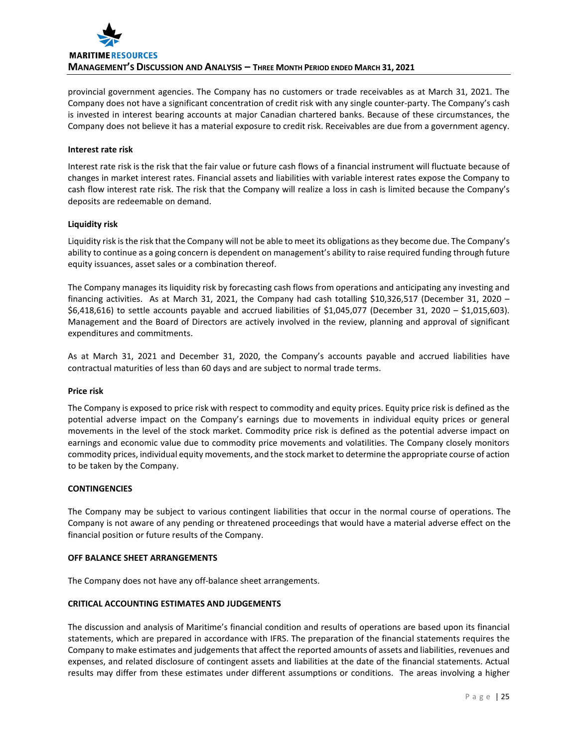

provincial government agencies. The Company has no customers or trade receivables as at March 31, 2021. The Company does not have a significant concentration of credit risk with any single counter-party. The Company's cash is invested in interest bearing accounts at major Canadian chartered banks. Because of these circumstances, the Company does not believe it has a material exposure to credit risk. Receivables are due from a government agency.

# **Interest rate risk**

Interest rate risk is the risk that the fair value or future cash flows of a financial instrument will fluctuate because of changes in market interest rates. Financial assets and liabilities with variable interest rates expose the Company to cash flow interest rate risk. The risk that the Company will realize a loss in cash is limited because the Company's deposits are redeemable on demand.

#### **Liquidity risk**

Liquidity risk is the risk that the Company will not be able to meet its obligations as they become due. The Company's ability to continue as a going concern is dependent on management's ability to raise required funding through future equity issuances, asset sales or a combination thereof.

The Company manages its liquidity risk by forecasting cash flows from operations and anticipating any investing and financing activities. As at March 31, 2021, the Company had cash totalling \$10,326,517 (December 31, 2020 – \$6,418,616) to settle accounts payable and accrued liabilities of \$1,045,077 (December 31, 2020 – \$1,015,603). Management and the Board of Directors are actively involved in the review, planning and approval of significant expenditures and commitments.

As at March 31, 2021 and December 31, 2020, the Company's accounts payable and accrued liabilities have contractual maturities of less than 60 days and are subject to normal trade terms.

#### **Price risk**

The Company is exposed to price risk with respect to commodity and equity prices. Equity price risk is defined as the potential adverse impact on the Company's earnings due to movements in individual equity prices or general movements in the level of the stock market. Commodity price risk is defined as the potential adverse impact on earnings and economic value due to commodity price movements and volatilities. The Company closely monitors commodity prices, individual equity movements, and the stock market to determine the appropriate course of action to be taken by the Company.

#### **CONTINGENCIES**

The Company may be subject to various contingent liabilities that occur in the normal course of operations. The Company is not aware of any pending or threatened proceedings that would have a material adverse effect on the financial position or future results of the Company.

#### **OFF BALANCE SHEET ARRANGEMENTS**

The Company does not have any off-balance sheet arrangements.

# **CRITICAL ACCOUNTING ESTIMATES AND JUDGEMENTS**

The discussion and analysis of Maritime's financial condition and results of operations are based upon its financial statements, which are prepared in accordance with IFRS. The preparation of the financial statements requires the Company to make estimates and judgements that affect the reported amounts of assets and liabilities, revenues and expenses, and related disclosure of contingent assets and liabilities at the date of the financial statements. Actual results may differ from these estimates under different assumptions or conditions. The areas involving a higher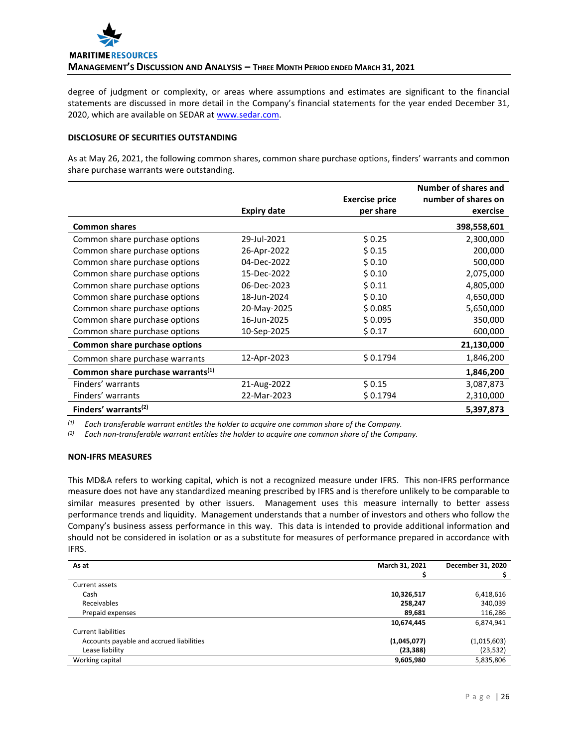degree of judgment or complexity, or areas where assumptions and estimates are significant to the financial statements are discussed in more detail in the Company's financial statements for the year ended December 31, 2020, which are available on SEDAR a[t www.sedar.com.](http://www.sedar.com/)

# **DISCLOSURE OF SECURITIES OUTSTANDING**

As at May 26, 2021, the following common shares, common share purchase options, finders' warrants and common share purchase warrants were outstanding.

|                                               |                    |                       | Number of shares and |
|-----------------------------------------------|--------------------|-----------------------|----------------------|
|                                               |                    | <b>Exercise price</b> | number of shares on  |
|                                               | <b>Expiry date</b> | per share             | exercise             |
| <b>Common shares</b>                          |                    |                       | 398,558,601          |
| Common share purchase options                 | 29-Jul-2021        | \$0.25                | 2,300,000            |
| Common share purchase options                 | 26-Apr-2022        | \$0.15                | 200,000              |
| Common share purchase options                 | 04-Dec-2022        | \$0.10                | 500,000              |
| Common share purchase options                 | 15-Dec-2022        | \$0.10                | 2,075,000            |
| Common share purchase options                 | 06-Dec-2023        | \$0.11                | 4,805,000            |
| Common share purchase options                 | 18-Jun-2024        | \$0.10                | 4,650,000            |
| Common share purchase options                 | 20-May-2025        | \$0.085               | 5,650,000            |
| Common share purchase options                 | 16-Jun-2025        | \$0.095               | 350,000              |
| Common share purchase options                 | 10-Sep-2025        | \$0.17                | 600,000              |
| Common share purchase options                 |                    |                       | 21,130,000           |
| Common share purchase warrants                | 12-Apr-2023        | \$0.1794              | 1,846,200            |
| Common share purchase warrants <sup>(1)</sup> |                    |                       | 1,846,200            |
| Finders' warrants                             | 21-Aug-2022        | \$0.15                | 3,087,873            |
| Finders' warrants                             | 22-Mar-2023        | \$0.1794              | 2,310,000            |
| Finders' warrants <sup>(2)</sup>              |                    |                       | 5,397,873            |

*(1) Each transferable warrant entitles the holder to acquire one common share of the Company.*

*(2) Each non-transferable warrant entitles the holder to acquire one common share of the Company.*

# **NON-IFRS MEASURES**

This MD&A refers to working capital, which is not a recognized measure under IFRS. This non-IFRS performance measure does not have any standardized meaning prescribed by IFRS and is therefore unlikely to be comparable to similar measures presented by other issuers. Management uses this measure internally to better assess performance trends and liquidity. Management understands that a number of investors and others who follow the Company's business assess performance in this way. This data is intended to provide additional information and should not be considered in isolation or as a substitute for measures of performance prepared in accordance with IFRS.

| As at                                    | March 31, 2021 | December 31, 2020 |
|------------------------------------------|----------------|-------------------|
|                                          |                |                   |
| Current assets                           |                |                   |
| Cash                                     | 10,326,517     | 6,418,616         |
| Receivables                              | 258,247        | 340,039           |
| Prepaid expenses                         | 89,681         | 116,286           |
|                                          | 10,674,445     | 6,874,941         |
| Current liabilities                      |                |                   |
| Accounts payable and accrued liabilities | (1,045,077)    | (1,015,603)       |
| Lease liability                          | (23, 388)      | (23, 532)         |
| Working capital                          | 9,605,980      | 5,835,806         |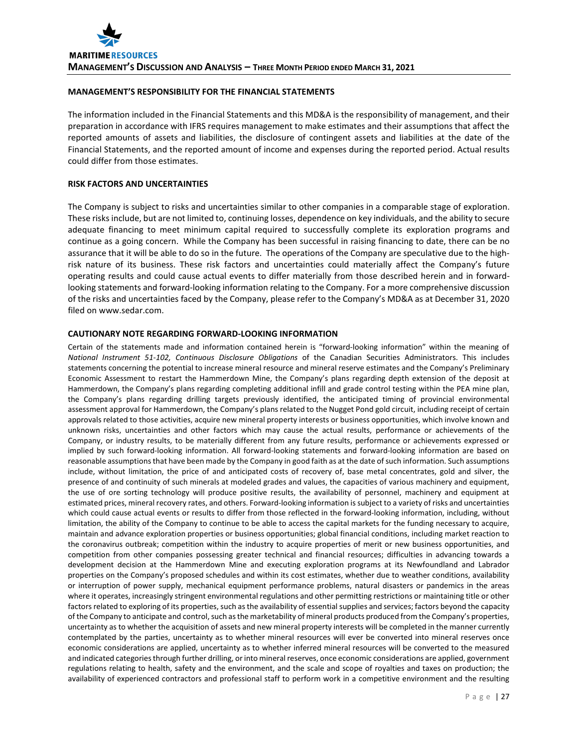# **MANAGEMENT'S RESPONSIBILITY FOR THE FINANCIAL STATEMENTS**

The information included in the Financial Statements and this MD&A is the responsibility of management, and their preparation in accordance with IFRS requires management to make estimates and their assumptions that affect the reported amounts of assets and liabilities, the disclosure of contingent assets and liabilities at the date of the Financial Statements, and the reported amount of income and expenses during the reported period. Actual results could differ from those estimates.

# **RISK FACTORS AND UNCERTAINTIES**

The Company is subject to risks and uncertainties similar to other companies in a comparable stage of exploration. These risks include, but are not limited to, continuing losses, dependence on key individuals, and the ability to secure adequate financing to meet minimum capital required to successfully complete its exploration programs and continue as a going concern. While the Company has been successful in raising financing to date, there can be no assurance that it will be able to do so in the future. The operations of the Company are speculative due to the highrisk nature of its business. These risk factors and uncertainties could materially affect the Company's future operating results and could cause actual events to differ materially from those described herein and in forwardlooking statements and forward-looking information relating to the Company. For a more comprehensive discussion of the risks and uncertainties faced by the Company, please refer to the Company's MD&A as at December 31, 2020 filed on www.sedar.com.

# **CAUTIONARY NOTE REGARDING FORWARD-LOOKING INFORMATION**

Certain of the statements made and information contained herein is "forward-looking information" within the meaning of *National Instrument 51-102, Continuous Disclosure Obligations* of the Canadian Securities Administrators. This includes statements concerning the potential to increase mineral resource and mineral reserve estimates and the Company's Preliminary Economic Assessment to restart the Hammerdown Mine, the Company's plans regarding depth extension of the deposit at Hammerdown, the Company's plans regarding completing additional infill and grade control testing within the PEA mine plan, the Company's plans regarding drilling targets previously identified, the anticipated timing of provincial environmental assessment approval for Hammerdown, the Company's plans related to the Nugget Pond gold circuit, including receipt of certain approvals related to those activities, acquire new mineral property interests or business opportunities, which involve known and unknown risks, uncertainties and other factors which may cause the actual results, performance or achievements of the Company, or industry results, to be materially different from any future results, performance or achievements expressed or implied by such forward-looking information. All forward-looking statements and forward-looking information are based on reasonable assumptions that have been made by the Company in good faith as at the date of such information. Such assumptions include, without limitation, the price of and anticipated costs of recovery of, base metal concentrates, gold and silver, the presence of and continuity of such minerals at modeled grades and values, the capacities of various machinery and equipment, the use of ore sorting technology will produce positive results, the availability of personnel, machinery and equipment at estimated prices, mineral recovery rates, and others. Forward-looking information is subject to a variety of risks and uncertainties which could cause actual events or results to differ from those reflected in the forward-looking information, including, without limitation, the ability of the Company to continue to be able to access the capital markets for the funding necessary to acquire, maintain and advance exploration properties or business opportunities; global financial conditions, including market reaction to the coronavirus outbreak; competition within the industry to acquire properties of merit or new business opportunities, and competition from other companies possessing greater technical and financial resources; difficulties in advancing towards a development decision at the Hammerdown Mine and executing exploration programs at its Newfoundland and Labrador properties on the Company's proposed schedules and within its cost estimates, whether due to weather conditions, availability or interruption of power supply, mechanical equipment performance problems, natural disasters or pandemics in the areas where it operates, increasingly stringent environmental regulations and other permitting restrictions or maintaining title or other factors related to exploring of its properties, such as the availability of essential supplies and services; factors beyond the capacity of the Company to anticipate and control, such as the marketability of mineral products produced from the Company's properties, uncertainty as to whether the acquisition of assets and new mineral property interests will be completed in the manner currently contemplated by the parties, uncertainty as to whether mineral resources will ever be converted into mineral reserves once economic considerations are applied, uncertainty as to whether inferred mineral resources will be converted to the measured and indicated categories through further drilling, or into mineral reserves, once economic considerations are applied, government regulations relating to health, safety and the environment, and the scale and scope of royalties and taxes on production; the availability of experienced contractors and professional staff to perform work in a competitive environment and the resulting